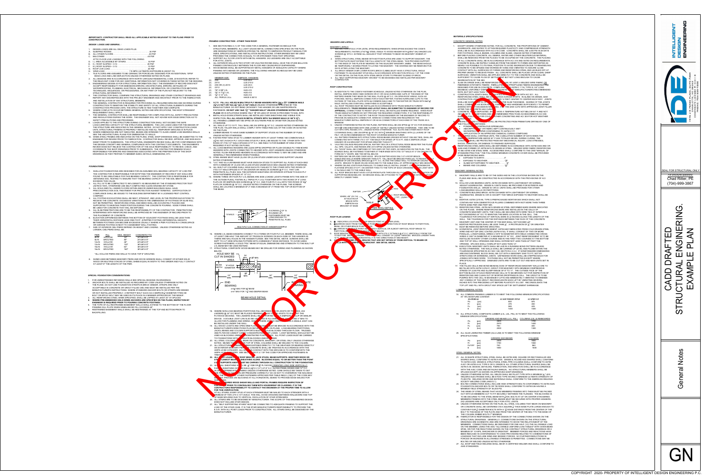### *IMPORTANT!!: CONTRACTOR SHALL READ ALL APPLICABLE NOTES RELEVANT TO THE PLANS PRIOR TO CONSTRUCTION.*

*DESIGN LOADS AND GENERAL :*

### *FRAMING CONSTRUCTION - OTHER THAN ROOF:* 1. SEE SECTION R602.3 (1) OF THE CODE FOR A GENERAL FASTENER SCHEDULE FOR IT GAUGE METAL CONNECTORS SPECIFIED ON THE PLAN STRONG TIE. REFER TO SIMPSON'S PRODUCT MANUAL FOR TALLATION INSTRUCTIONS. OTHER BRANDS MAY BE USED QUAL TO OR STRONGER THAN THAT SPECIFIED. H METAL HANGERS. 2X2 LEDGERS ARE ONLY ACCEPTABLE **DRY OR VAULTED ROOMS SHALL HAVE THE STUDS BALLOON** IN THE FLOOR AND CEILING/ROOF DIAPHRAGMS. TED BY METAL HANGERS OF ADEQUATE CAPACITY WHERE RS. THE FOLLOWING HANGER SCHEDULE MAY BE USED

### **NR MODIFY THE HANGER OR USE INAPPROPRIATE <sup>2</sup>" "HANGER NAILS" UNLESS OTHERWISE NOTED ON THE PLANS** OR IN SITUATIONS WHERE ONLY 1 $\frac{3}{4}$ " OR LESS OF WOOD IS PROVIDED TO NAIL INTO. LL BE INSTALLED OVER SHEATHING AND VISIBLE FOR INSPECTION. **FILL ALL HOLES IN METAL STRAPS WITH 16d SINKER NAILS (0.148"X 3 1 <sup>4</sup>").** F#2 OR SOUTHERN PINE #2 OR BETTER UNLESS NOTED ALL BE 2X4 SPF#2 @ 16" O.C. UNLESS NOTED OTHERWISE ON

| FOR UNRESTRAINED RETAINING WALLS SEE SPECIAL DESIGNS ON DRAWINGS.                              |
|------------------------------------------------------------------------------------------------|
| 2. ANCHOR BOLTS SHALL BE INSTALLED AS REQUIRED BY CODE UNLESS OTHERWISE NOTED ON               |
| THE PLANS. DO NOT USE FOUNDATION STRAPS IN BRICK VENEER. STRAPS ARE ONLY                       |
| ACCEPTABLE IN CONCRETE OR GROUT FILLED CMU AND MUST BE INSTALLED PER THE                       |
| MANUFACTURER'S INSTRUCTIONS, WHERE STANDARD ANCHOR BOLTS OR STRAPS ARE MISSED                  |
| OR NOT INSTALLED PROPERLY, A RETROFIT BOLT SUCH AS A SIMPSON $\frac{1}{2}$ " DIAMETER TITEN HD |
| BOLT OR EPOXY BOLT MAY BE USED IN ITS PLACE IN A MANNER APPROVED BY THE MANUF.                 |
| 3. ALL REINFORCING STEEL WHEN SPECIFIED. SHALL BE LAPPED AT LEAST 24" AT SPLICES               |
| 4. WHERE PRE-EMBEDDED HOLD DOWN ANCHORS ARE SPECIFIED ON THE PLANS, INSPECTION BY              |
| <b>ENGINEER IS REQUIRED PRIOR TO POURING CONCRETE FOOTINGS.</b>                                |
| 5. THE TOPS OF ALL RESTRAINED BASEMENT WALLS SHALL EXTEND TO THE BOTTOM OF THE FLOOR           |

### **24. EXAMPLE IN OUR SHEAR WALLS AND PORTAL FRAMES REQUIRE INSPECTION OF FRIOR TO CONCEALING THEM WITH HOUSEWRAP OR CLADDING. IT IS THE CONTRACTORS RESPONSIBILITY TO CONTACT THE ENGINEER AT THE PROPER TIME TO ALLOW**

AT ALL STAIRS, EVERY STUD AT EACH STRINGER MUST BE NAILED TO EACH STRINGER WITH A MINIMUM OF TWO (3"X 0.131") NAILS. THIS WILL AVOID CRACKING BETWEEN WALLBOARD AND TOP 26. ALL STAIRS ARE TO BE DESIGNED BY MANUFACTURER. THE SCOPE OF THIS ENGINEERED DESIGN 27. ALL "SELF SUPPORTING STAIRS" MUST BE CONNECTED TO ADEQUATE FRAMING TO SUPPORT THE

- 
- SEGREGATION OF THE MIX.
- RATE, BUT NOT LESS THAN 1.5<br>4. CONSTRUCTION JOINTS SHALL 4. CONSTRUCTION JOINTS SHALL BE LOCATED IN ACCORDING MCE WITH ACI 301. ALL

# AFTER THE CONCRETE HAS CURE

### THE FOLLOWING METHODS:<br>• PONDING CONTINU **PONDING CONTINUOUS SPRINKLING**<br>ABSORPTING THAT OR FABRIC KEPT CON WATERPROOF APER CONFORMING TO ASTM C171 · APPLICATION OF AN APPROVED CHEMICAL CURING COMPOUND

### • BEAMS AND COLUMNS. MASONRY GENERAL NOTES:

- 530.
- LOAD-BEARING WALLS OR PARTITIONS. 11. CONCRETE BUILDING BRICK: ASTM C55 MADE WITH LIGHTWEIGHT OR NORMAL
- N-I. PARTS SAND PER ONE PART MIX.
- MASONRY UNIT AND THE CENTER OF THE BAR SHALL NOT EXCEED ±1/2". MUST BE REMOVED BEFORE GROUTING.
- OPENING. SPLICES SHALL OVERLAP NOT LESS THAN 12".
- 
- **PLACE**

## <u>I LVL CONNECTION AT HANGER EXA</u>MPLE

- 1. IN ADDITION TO THE CODE'S FASTENER SCHEDULE, UNLESS NOTED OTHERWISE ON THE PLAN, INSTALL SIMPSON SDWC15600 SCREWS OR H1 OR H2.5A HURRICANE CLIPS AT THE ENDS OF THE RAFTERS WHERE THEY BEAR ON THE WALL PLATE @ 48" O.C. ON OPEN ROOF AREAS, SUCH AS PORCHES, INSTALL SIMPSON CONNECTOR AT EACH RAFTER. FASTEN HURRICANE CLIPS TO THE OUTSIDE OF THE WALL PLATE WITH 8d COMMON NAILS AND TO THE RAFTER OR TRUSS WITH 8dX1 $\frac{1}{2}$ " NAILS. INSTALLING OVER WALL SHEATHING IS ACCEPTABLE.
- 2. ALL ROOF TRUSSES MUST BE INSTALLED IN ACCORDANCE WITH TRUSS MANUFACTURERS' REQUIREMENTS. **TRUSS DESIGNS AND LAYOUT SHALL BE SUBMITTED TO ENGINEER OF RECORD FOR APPROVAL.** CONNECTIONS TO RESIST UPLIFT SHALL BE INSTALLED WHERE REQUIRED. WHEN ROOF TRUSS MANUFACTURERS DO NOT PROVIDE THE REQUIRED CONNECTORS, IT IS THE RESPONSIBILITY OF THE CONTRACTOR TO NOTIFY THE ROOF TRUSS ENGINEER OR THE ENGINEER OF RECORD TO PROVIDE AN ADEQUATE CONNECTOR. WHEN NO CONNECTIONS ARE REQUIRED BY THE MANUFACTURER INSTALL SIMPSON H1 OR H2.5A CONNECTORS AT EACH END OF THE TRUSS AS A
- MINIMUM. 3. UNLESS OTHERWISE NOTED ON THE PLANS, RAFTERS SHALL BE 2X6 SPF#2 @ 16" O/C FOR SHINGLES WITH  $\frac{7}{16}$ " OSB SHEATHING WITH ONE LAYER OF 15# FELT UNLESS NOTED OTHERWISE. THEY ARE TO BE CUT INTO HIPS, RIDGES, ETC., UNLESS NOTED OTHERWISE. TILE, SLATE AND OTHER HEAVY ROOF COVERINGS SHALL USE 2X8 SPF#2 @ 16" O/C WITH  $\frac{3}{4}$ " MINIMUM SHEATHING WITH (2) LAYERS OF 15# FELT, OR AS RECOMMENDED BY THE ROOF COVERING MANUFACTURER. 4. ALL RAFTERS FRAMING INTO STRUCTURAL RIDGE BEAMS (RIDGES WITHOUT CEILING TIES), SHALL BE
- CONNECTED WITH THREE 3"X 0.131" TOE-NAILS FOR SPANS UP TO 8 FT. AND A SIMPSON LRU28 HANGER OR A34 BRACKET FOR SPANS GREATER THAN 8 FT. 5. VAULTED CEILINGS REQUIRE SPECIAL RAFTER TIES OR A STRUCTURAL RIDGE BEAM PER THE PLANS.
- ALL HIPS, VALLEYS, AND RIDGES ARE 2X10 SPF#2 UNLESS NOTED OTHERWIS 6. ALL "HOGS" SHALL BE COMPOSED OF TWO 2X6'S OR TWO 2X8'S, AS INDICATED ON THE PLAN. THE BOARDS SHALL BE FASTENED TOGETHER AT THEIR ENDS WITH 3"X0.131" NAILS AT 4" ON CENTER T FORM AN "L" SHAPE. SEE THE DETAIL BELOW.
- 7. RAFTERS MAY BE SPLICED OVER HOGS. SPLICE RAFTER HOGS ONLY AT A ROOF BRACE. 8. GABLE END WALLS WHERE GREATER THAN 6 FT. TALL MUST BE BRACED PARALLEL TO RIDGE MINIMUM OF 2X6 DIAGONAL BRACES @ 6 FT. O.C. ALONG THE GABLE WALL TO INTERIOR CEILING JOISTS. BRACES TO BEAR ON 2X6 HOGS AND TO THE GABLE WALL AT APPROXIMATELY MID-HEIG
- 9. WHERE CEILING JOISTS RUN PARALLEL TO GABLE WALLS, INSTALL 2X4X6FT, LONG STRONGBACKS FLATWISE SPACED AT 6 FT. ON CENTER TYING TO THE TOPS OF EACH CROSSING CHAIG JOIST WITH THAT THE TOPS OF EACH CROSSING CHAIGHT ON THE THAT THE TOPS OF EACH CROSSING CHAIGHT ON THE TOPS OF EACH CROSSING CHAIGHT ON THE TOPS O 3-10d NAILS AND TO THE GABLE WALL. 10. ALL ROOF BRACES MUST HAVE A STUD FROM PLATE THROUGH ALL FLOOR SUPPORTING BEAM BELOW. NO BRACES SHALL BE ATTACHED TO T



DOES NOT INCLUDE STAIR DESIGN. MANUFACTURER.

LOAD OF THE STAIR CASE. IT IS THE STAIR MANUFACTURER'S RESPONSIBILITY TO PROVIDE THE E.O.R. WITH ALL POINT LOADS PRIOR TO CONSTRUCTION. ALL STAIRS SHALL BE DESIGNED BY THE

### NOTED. BEAMS THAT BEAR IN TOP OF STEEL COLUMNS SHALL BE WELDED TO THE COLUMN. 21. ALL STRUCTURAL CAMING LUBER EXPOSED DIRECTLY TO THE WEATHER OR BEARING DIRECTLY ON EXTERIOR MASONRY PIERS CONCRETE SHALL BE TREATED IN ACCORDANCE WITH THE AWPA UC3B CATEGORY. ALL WORKING AND CONTACT WITH THE GROUND IS TO CONFORM WITH THE  $\blacktriangle$ W CONTACT WITH THE GROUND IS TO CONFORM WITH THE

### *MATERIALS SPECIFICATIONS:* CONCRETE GENERAL NOTES:

| DESIGN LOADS ARE ALL DEAD LOADS PLUS:                                                                                                                                                                                                                                     | <u>ULL ULU MUTHOLD (I) UM MIL UUDET UMM ULIMENTU ILIMEN UUMLUULLI UM</u><br>STRUCTURAL MEMBERS. ALL LIGHT GAUGE METAL CONNECTORS SPECIFIED ON THE PLAN<br>ARE DESIGNATIONS BY SIMPSON STRONG TIE. REFER TO SIMPSON'S PRODUCT MANUAL FOR<br>SIZES, SPECIFICATIONS, AND INSTALLATION INSTRUCTIONS. OTHER BRANDS MAY BE USED<br>PROVIDED THE CONNECTION IS EQUAL TO OR STRONGER THAN THAT SPECIFIED. | <b>MASUNRY LINTELS</b><br>1. SEE SECTION R703.8.3 FOR LINTEL SPAN REQUIREMENTS. WHEN SPANS EXCEED THE CODE'S<br>REQUIREMENTS, FASTEN L4"X4"X $\frac{5}{16}$ " STEEL ANGLE TO WOOD HEADER WITH $\frac{1}{2}$ "ØX4" GALVANIZED LAG<br>SCREWS @ 16"O.C. EXTEND ALL ANGLES 6" PAST OPENING TO BEAR ON MASONRY VENEER AT<br>ENDS. | AGGREGATE, AND WATER TO ATTAIN REQUIRED PLASTICIT<br>SHALL BE IN ACCORDANCE WITH ACI 318 CODE. CONCRET<br>FOR FOOTINGS, WALLS, BEAMS, COLUMNS AND SLABS, UN<br>BEFORE PLACING CONCRETE, ALL DEBRIS, WATER AND OT |
|---------------------------------------------------------------------------------------------------------------------------------------------------------------------------------------------------------------------------------------------------------------------------|---------------------------------------------------------------------------------------------------------------------------------------------------------------------------------------------------------------------------------------------------------------------------------------------------------------------------------------------------------------------------------------------------|------------------------------------------------------------------------------------------------------------------------------------------------------------------------------------------------------------------------------------------------------------------------------------------------------------------------------|------------------------------------------------------------------------------------------------------------------------------------------------------------------------------------------------------------------|
| ATTIC FLOOR LIVE LOADING WITH THE FOLLOWING:                                                                                                                                                                                                                              | 2. SUPPORT ALL FLOOR JOISTS WITH METAL HANGERS. 2X2 LEDGERS ARE ONLY ACCEPTABLE<br>FOR ATTIC JOISTS.<br>3. ALL EXTERIOR WALLS IN TWO STORY OR VAULTED ROOMS SHALL HAVE THE STUDS BALLOON                                                                                                                                                                                                          | 2. WHEN STRUCTURAL STEEL BEAMS WITH BOTTOM PLATES ARE USED TO SUPPORT MASONRY, THE<br>BOTTOM PLATE MUST EXTEND THE FULL LENGTH OF THE STEEL BEAM. THIS PROVIDES SUPPORT<br>TO THE ENDS OF THE PLATE BY BEARING ON THE ADJACENT MASONRY JAMBS. THE BEAM SHOULD                                                                | SHALL BE REMOVED FROM THE PLACES TO BE OCCUPIED<br>OF ALL CONCRETE SHALL BE IN ACCORDANCE WITH ACI 31<br>CONCRETE SHALL BE RAPIDLY HANDLED FROM THE MIXER                                                        |
|                                                                                                                                                                                                                                                                           | FRAMED CONTINUOUSLY BETWEEN THE FLOOR AND CEILING/ROOF DIAPHRAGMS<br>4. WOOD BEAMS SHALL BE SUPPORTED BY METAL HANGERS OF ADEQUATE CAPACITY WHERE                                                                                                                                                                                                                                                 | BE TEMPORARILY SHORED PRIOR TO LAYING THE MASONRY. THE SHORING MAY BE REMOVED FIVE<br>DAYS AFTER LAYING THE MASONRY.                                                                                                                                                                                                         | NEARLY AS POSSIBLE TO ITS FINAL POSITION TO AVOID SE<br>CONCRETE TO BE SPADED AND WORKED BY HAND AND VII<br>CONTACT WITH ALL SURFACES OF FORMS AND REINFORC                                                      |
| TILE FLOORS ARE ASSUMED TO BE CERAMIC OR PORCELAIN DESIGNED FOR AN ADDITIONAL 10PSF<br>DEAD LOAD AND L/360 DEFLECTION UNLESS OTHERWISE NOTED ON PLANS.                                                                                                                    | FRAMING INTO BEAMS OR LEDGERS. THE FOLLOWING HANGER SCHEDULE MAY BE USED<br>UNLESS NOTED OTHERWISE ON THE PLAN:                                                                                                                                                                                                                                                                                   | 3. ALL BRICK VENEER OVER LOWER ROOFS (BRICK CLIMBS) MUST HAVE A STRUCTURAL ANGLE<br>FASTENED TO AN ADJACENT STUD WALL IN ACCORDANCE WITH SECTION R703.8.2.1 OF THE CODE<br>OR THE DETAIL ON THE PLAN. WITH STEEL BRICK STOPS TO PREVENT SLIDING OF BRICK                                                                     | PROPER GRADE TO RECEIVE FINISH. ALL CONCRETE SHAI<br>SURFACES. VIBRATION SHALL BE APPLIED DIRECTLY TO TH                                                                                                         |
| 2. ALL DESIGNS ARE IN ACCORDANCE WITH NORTH CAROLINA RESIDENTIAL CODE, 2018 EDITION. REFER TO<br>THE RELEVANT CODE FOR ANY ADDITIONAL INFORMATION NOT COVERED IN THESE NOTES OR THE DESIGNS.                                                                              | MEMBER SIZE<br><b>SIMPSON HANGERS</b><br>$(2)$ 2X8<br>LUS 28-2<br>LUS 210-2<br>$(2)$ 2X10                                                                                                                                                                                                                                                                                                         | 4. ALL "SELF-SUPPORTING MASONRY ARCHES" TO BE DESIGNED AND INSTALLED PER MASONRY<br>CONTRACTOR.                                                                                                                                                                                                                              | SUFFICIENT TO CAUSE FLOW OF SETTLEMENT BUT NOT LO<br>SEGREGATION OF THE MIX.<br>3. SLAB ON GRADE SHALL BE REINFORCED WALLOCK W1.4XV                                                                              |
| 3. ENGINEERING DESIGN IS FOR STRUCTURAL INFORMATION ONLY. THE ENGINEER OF RECORD DOES NOT<br>ACCEPT RESPONSIBILITY FOR DIMENSION ERRORS, ARCHITECTURAL ERRORS, DETAILING OF<br>WATERPROOFING, PLUMBING, ELECTRICAL, MECHANICAL INFORMATION, OR CONSTRUCTION METHODS,      | $(3)$ 2X8 OR $(3)$ 2X10<br>LUS 28-3<br>LUS 210-2<br>$(2)$ 2X12                                                                                                                                                                                                                                                                                                                                    | <b>ROOF CONSTRUCTION:</b>                                                                                                                                                                                                                                                                                                    | <b>LYPROPY</b><br>FIBERMESH SYNTHETIC FIBERS - FIBRILLATEL<br>DESIGNED FOR USE IN CONCRETE, COMPLYING TH ASTI<br><b>AT M</b><br>MAXIMUM, UNIFORMLY DISPET<br><b>WALCONCRETE</b>                                  |
| TECHNIQUES, SEQUENCES, OR PROCEDURES, OR ANY PART OF THE PLAN NOT RELEVANT TO THE<br>STRUCTURAL INFORMATION.<br>4. THE CONTRACTOR SHALL COMPARE THE STRUCTURAL DRAWINGS AND OTHER CONTRACT DRAWINGS AND                                                                   | (2) $1\frac{3}{4}$ " X $9\frac{1}{4}$ " LVL<br><b>HUS 410</b><br><b>HUS 412</b><br>$(2)$ 1 <sup>3</sup> / <sub>4</sub> " X 11 <sup>7</sup> / <sub>8</sub> " LVL<br>$(2)$ $1\frac{3}{4}$ " X 14" LVL<br><b>HUS 412</b>                                                                                                                                                                             | 1. IN ADDITION TO THE CODE'S FASTENER SCHEDULE, UNLESS NOTED OTHERWISE ON THE PLAN,<br>INSTALL SIMPSON SDWC15600 SCREWS OR H1 OR H2.5A HURRICANE CLIPS AT THE ENDS OF THE<br>RAFTERS WHERE THEY BEAR ON THE WALL PLATE @ 48" O.C. ON OPEN ROOF AREAS, SUCH AS                                                                | RATE, BUT NOT LESS THAN 1.<br><b>OCATED INC.</b><br>CONSTRUCTION JOINTS SHALL <b>L</b>                                                                                                                           |
| REPORT ANY DISCREPANCIES WITH THE PROJECT ENGINEER AND ARCHITECT PRIOR TO THE FABRICATION<br>AND INSTALLATION OF ANY STRUCTURAL MEMBERS.<br>THE GENERAL CONTRACTOR IS REQUIRED FOR PROVIDING ALL REQUIRED BRACING AND SHORING DURING                                      | <b>ALL TRIPLE LVLs</b><br><b>HHUS 5.50/10</b><br>5. NOTE: FILL ALL HOLES IN MULTIPLE PLY BEAM HANGERS WITH 16d x 31/2" COMMON NAILS                                                                                                                                                                                                                                                               | PORCHES, INSTALL SIMPSON CONNECTOR AT EACH RAFTER. FASTEN HURRICANE CLIPS TO THE<br>OUTSIDE OF THE WALL PLATE WITH 8d COMMON NAILS AND TO THE RAFTER OR TRUSS WITH 8dX1. <sup>1</sup>                                                                                                                                        | NUOUS ACROSS JOI<br>REINFORCING STEEL SHALL BE CO.<br><b>ER 12 FEET CENT</b><br>NOT BL<br><b>CONTRACTION JOINT</b><br><b>NTHIRL</b><br>THE SLAB THI<br>SHALL BE SAWN<br><b>APTHON</b>                            |
| CONSTRUCTION TO MAINTAIN THE STABILITY AND SAFETY OF ALL STRUCTURAL ELEMENTS DURING THE<br>CONSTRUCTION PROCESS UNTIL THE STRUCTURE IS TIED TOGETHER AND COMPLETE.<br>6. WHERE CONFLICTS OCCUR BETWEEN GENERAL NOTES AND SPECIFICATIONS. THE MOST STRINGENT               | $(3\frac{1}{2}$ "x 0.162") OR 16d x2 $\frac{1}{2}$ " (2 $\frac{1}{2}$ "x 0.162") NAILS UNLESS OTHERWISE SPECIFIED BY THE<br>MANUFACTURER. DO NOT BEND OR MODIFY THE HANGER OR USE INAPPROPRIATE                                                                                                                                                                                                   | NAILS. INSTALLING OVER WALL SHEATHING IS ACCEPTABLE.<br>2. ALL ROOF TRUSSES MUST BE INSTALLED IN ACCORDANCE WITH TRUSS MANUFACTURERS<br>REQUIREMENTS. TRUSS DESIGNS AND LAYOUT SHALL BE SUBMITTED TO ENGINEER OF RECORD FOR                                                                                                  | <b>E</b> AS SOON AS<br><b>E CONG THE HAS HARD</b><br>SHALL COMME<br>ING. FLATHE SAW C<br>SAWING WITH<br>T EXCESSIVE RA<br><b>CRETE HAS CURE</b><br>AFTER THE C                                                   |
| REQUIREMENT SHALL APPLY.<br>7. THE GENERAL CONTRACTOR SHALL BE RESPONSIBLE FOR COMPLYING WITH ALL SAFETY PRECAUTIONS                                                                                                                                                      | FASTENERS. DO NOT USE 10dX 11/2" "HANGER NAILS" UNLESS OTHERWISE NOTED ON THE<br><b>PLANS OR IN SITUATIONS WHERE ONLY 13" OR LESS OF WOOD IS PROVIDED TO NAIL INTO.</b><br>6. METAL HOLD-DOWN STRAPS SHALL BE INSTALLED OVER SHEATHING AND VISIBLE FOR                                                                                                                                            | APPROVAL. CONNECTIONS TO RESIST UPLIFT SHALL BE INSTALLED WHERE REQUIRED. WHEN ROOF<br>TRUSS MANUFACTURERS DO NOT PROVIDE THE REQUIRED CONNECTORS, IT IS THE RESPONSIBILITY<br>OF THE CONTRACTOR TO NOTIFY THE ROOF TRUSS ENGINEER OR THE ENGINEER OF RECORD TO                                                              | CONCRETE, V<br>N DEPOSITED, SH<br><b>NE</b> HAVE A TEMPERATU<br>ABOV 5 90° F.<br>METHODS AND<br><b>COMMENDED PRACTI</b><br><b>D</b> FOR COLD<br><b>SHAL</b><br><b>E</b> FOLL<br><b>ATHER CONCRETING A</b>        |
| AND REGULATIONS DURING THE WORK. THE ENGINEER WILL NOT ADVISE NOR ISSUE DIRECTION AS TO<br>SAFETY PRECAUTIONS AND PROGRAMS<br>8. LOADS APPLIED TO THE STRUCTURE DURING CONSTRUCTION SHALL NOT EXCEED THE SAFE                                                             | INSPECTION. FILL ALL HOLES IN METAL STRAPS WITH 16d SINKER NAILS (0.148"X 34").<br>7. ALL FRAMING LUMBER MAY BE SPF#2 OR SOUTHERN PINE #2 OR BETTER UNLESS NOTED<br>OTHERWISE.                                                                                                                                                                                                                    | PROVIDE AN ADEQUATE CONNECTOR. WHEN NO CONNECTIONS ARE REQUIRED BY THE<br>MANUFACTURER INSTALL SIMPSON H1 OR H2.5A CONNECTORS AT EACH END OF THE TRUSS AS A<br>MINIMUM.                                                                                                                                                      | NG.<br><b>AONCH</b><br>KESHLY<br><b>AALL BE PROTECTED FROM</b><br><b>CED CO.</b>                                                                                                                                 |
| LOAD-CARRYING CAPACITY OF THE STRUCTURAL MEMBERS. THE LIVE LOADS USED FOR THE DESIGN OF<br>THE STRUCTURE ARE INDICATED IN THE GENERAL NOTES. DO NOT APPLY ANY CONSTRUCTION LOADS<br>UNTIL STRUCTURAL FRAMING IS PROPERLY INSTALLED AND ALL TEMPORARY BRACING IS IN PLACE. | 8. ALL WALLS UP TO 10 FT. TALL SHALL BE 2X4 SPF#2 @ 16" O.C. UNLESS NOTED OTHERWISE ON<br>THE PLAN. TALLER WALLS SHALL COMPLY WITH TABLE R602.3(5) OF THE CODE OR AS NOTED<br>ON THE PLAN.                                                                                                                                                                                                        | 3. UNLESS OTHERWISE NOTED ON THE PLANS, RAFTERS SHALL BE 2X6 SPF#2 @ 16" O/C FOR SHINGLES<br>WITH $\frac{7}{16}$ " OSB SHEATHING WITH ONE LAYER OF 15# FELT UNLESS NOTED OTHERWISE. THEY ARE TO BE<br>CUT INTO HIPS, RIDGES, ETC., UNLESS NOTED OTHERWISE. TILE, SLATE AND OTHER HEAVY ROOF                                  | THE FOLLOW<br><b>NETHODS:</b><br>CONTINUOUS SPRINKLING<br>$\bullet$ PONDING<br>ABSORPTIVE MAT OR FABRIC KEPT CONTINUOUSLY I                                                                                      |
| WHERE DIMENSIONS ARE NOT INDICATED, BEAMS ARE INTENDED TO ALIGN UNDER LOAD BEARING WALLS.<br>SEE THE ARCHITECTURAL PLANS FOR DIMENSIONS TO WALLS.<br>10. WHEN STEEL FRAMES ARE INDICATED ON THE PLANS, STEEL SHOP DRAWINGS SHALL BE SUBMITTED TO THE                      | 9. LUMBER BEAMS TO HAVE SAME NUMBER OF SUPPORT STUDS AS THE NUMBER OF PLIES<br>UNLESS NOTED OTHERWISE.                                                                                                                                                                                                                                                                                            | COVERINGS SHALL USE 2X8 SPF#2 @ 16" O/C WITH $\frac{3}{4}$ " MINIMUM SHEATHING WITH (2) LAYERS OF 15#<br>FELT, OR AS RECOMMENDED BY THE ROOF COVERING MANUFACTURER.                                                                                                                                                          | WATERPROOF APER CONFORMING TO ASTM C171<br>APPLICATION OF AN APPROVED CHEMICAL CURING (<br>NRING SHALL CONTINUE UNTIL THE CUMULATIVE NU                                                                          |
| ENGINEER FOR REVIEW PRIOR TO FABRICATION. CONTRACTOR SHALL REVIEW, APPROVE, AND SIGN EACH<br>SHEET PRIOR TO SUBMISSION. THE STRUCTURAL ENGINEER'S REVIEW SHALL BE FOR CONFORMANCE WITH                                                                                    | 10. FASTEN FIRST KING STUD TO LUMBER HEADER WITH AT LEAST THREE 16D COMMON NAILS<br>(3 <sup>}</sup> "X0.162") IN EACH PLY. EACH KING STUD PLY SHALL BE NAILED TO THE OTHER WITH TWO<br>ROWS OF 3"X0.131" NAILS SPACED AT 9" O.C. SEE R602.7.5 FOR NUMBER OF KING STUDS                                                                                                                            | 4. ALL RAFTERS FRAMING INTO STRUCTURAL RIDGE BEAMS (RIDGES WITHOUT CEILING TIES), SHALL BE<br>CONNECTED WITH THREE 3"X 0.131" TOE-NAILS FOR SPANS UP TO 8 FT. AND A SIMPSON LRU28<br>HANGER OR A34 BRACKET FOR SPANS GREATER THAN 8 FT.                                                                                      | TEMPERATURE ABOVE 50° F HAS TOTALED SEVE<br>CONCRAND SHALL BE PROTECTED FROM ANY MECHANICA<br>SHOCK, VIBRATION, OR DAMAGE TO FINISHED SURFACES.                                                                  |
| THE DESIGN CONCEPT AND GENERAL COMPLIANCE WITH THE CONTRACT DOCUMENTS. THE ENGINEER'S<br>REVIEW DOES NOT RELIEVE THE CONTRACTOR OF THE SOLE RESPONSIBILITY TO REVIEW, CHECK, AND<br>COORDINATE THE SHOP DRAWINGS PRIOR TO SUBMISSION. THE CONTRACTOR REMAINS SOLELY       | REQUIRED IF NOT NOTED ON PLANS.<br>11. ALL LOAD-BEARING HEADERS ARE (2)2X8 SPF#2 DROPPED OR FLUSH DOUBLE PLY RIM BOARD<br>HEADERS WITH JOISTS CONNECTED TO HEADER WITH JOIST HANGERS UNLESS OTHERWISE                                                                                                                                                                                             | 5. VAULTED CEILINGS REQUIRE SPECIAL RAFTER TIES OR A STRUCTURAL RIDGE BEAM PER THE PLANS.<br>ALL HIPS, VALLEYS, AND RIDGES ARE 2X10 SPF#2 UNLESS NOTED OTHERWISE<br>6. ALL "HOGS" SHALL BE COMPOSED OF TWO 2X6'S OR TWO 2X8'S, AS INDICATED ON THE PLAN. THE                                                                 | REINFORCING STEEL BARS SHALL BE DEFORMED IN ACCO<br>A408 AND FORMED OF ASTM A615-78 GRADE 60 STEEL. WE<br>TO BE ASTM A185 STEEL WIRE. ACCESSORIES SHALL CON                                                      |
| RESPONSIBLE FOR ERRORS AND OMISSIONS ASSOCIATED WITH THE PREPARATION OF THE SHOP<br>DRAWINGS AS THEY PERTAIN TO MEMBER SIZES, DETAILS, DIMENSIONS, ETC.                                                                                                                   | NOTED. FLUSH RIM BOARD HEADERS IN ACCORDANCE WITH R602.7.2 MAY BE USED AND ARE<br><b>GENERALLY RECOMMENDED WHEN POSSIBLE.</b>                                                                                                                                                                                                                                                                     | BOARDS SHALL BE FASTENED TOGETHER AT THEIR ENDS WITH 3"X0.131" NAILS AT 4" ON CENTER TO<br>FORM AN "L" SHAPE. SEE THE DETAIL BELOW.<br>7. RAFTERS MAY BE SPLICED OVER HOGS. SPLICE RAFTER HOGS ONLY AT A ROOF BRACE.                                                                                                         | STANDARD PRACTICE." THE FOLLOWING MINIMUM CONCRI<br><b>OVER REINFORCING BARS:</b>                                                                                                                                |
|                                                                                                                                                                                                                                                                           | 12. STEEL BEAMS MUST HAVE (5)-2X4 OR (4)-2X6 STUDS UNDER EACH END SUPPORT UNLESS<br><b>NOTED OTHERWISE</b><br>13. "LVL" AND GLU-LAM BEAMS MUST HAVE ENOUGH STUDS TO SUPPORT ALL PLIES AT EACH END                                                                                                                                                                                                 | 8. GABLE END WALLS WHERE GREATER THAN 6 FT. TALL MUST BE BRACED PARALLEL TO RIDGES<br>MINIMUM OF 2X6 DIAGONAL BRACES @ 6 FT. O.C. ALONG THE GABLE WALL TO INTERIOR CEILING<br>JOISTS. BRACES TO BEAR ON 2X6 HOGS AND TO THE GABLE WALL AT APPROXIMATELY MID-HEIGHT.                                                          | ● EXPOSED TO EARTH 3"<br>• EXPOSED TO WEATHER. 1½<br>$\bullet$ SLABS NOT EXPOSED TO WEATHER $\frac{3}{4}$ "                                                                                                      |
| <b>FOUNDATIONS:</b>                                                                                                                                                                                                                                                       | WITH A MINIMUM OF (3)-2X4 OR (2)-2X6 STUDS UNDER EACH END UNLESS NOTED OTHERWISE.<br>14. ALL BUILT-UP COLUMNS SHALL HAVE EACH PLY NAILED TO THE OTHER WITH TWO ROWS OF<br>3"X0.131" NAILS SPACED AT 9" ON CENTER OR HEADLOK SCREWS @ 9" O.C. THAT CAN                                                                                                                                             | 9. WHERE CEILING JOISTS RUN PARALLEL TO GABLE WALLS, INSTALL 2X4X6FT. LON<br>TRONGBACKS<br>FLATWISE SPACED AT 6 FT. ON CENTER TYING TO THE TOPS OF EACH CROSSING U<br><b>NG JOIST WITH</b><br>3-10d NAILS AND TO THE GABLE WALL.                                                                                             | • BEAMS AND COLUMNS 1½<br>MASONRY GENERAL NOTES:                                                                                                                                                                 |
| SHALLOW FOUNDATIONS ARE DESIGNED FOR AN ASSUMED SOIL BEARING CAPACITY OF 2,000 PSF<br>THE CONTRACTOR IS RESPONSIBLE FOR NOTIFYING THE ENGINEER OF RECORD IF ANY SOILS ARE<br>FOUND TO BE UNSUITABLE FOR THIS BEARING CAPACITY. THE CONTRACTOR IS RESPONSIBLE FOR          | PENETRATE ALL PLIES. NAIL THE EXTERIOR SHEATHING OR INTERIOR GYPSUM TO EACH PLY<br>WITH FASTENERS SPACED AT 12" O.C.<br>15. WHERE THREE OR FOUR-PLY LVL BEAMS ARE SIDE-LOADED (JOISTS FRAME INTO THE SIDE AT                                                                                                                                                                                      | 10. ALL ROOF BRACES MUST HAVE A STUD FROM PLATE THROUGH ALL FLOO<br>ATION OR<br>THE FO.<br>SUPPORTING BEAM BELOW. NO BRACES SHALL BE ATTACHED TO TO<br><b>E</b> WITH <b>WE</b><br><b>STUDS</b><br><b>ALLA</b><br>DIRECTLY UNDER THEM.                                                                                        | 9. MASONRY WALLS ARE TO BE OF THE SIZES AND IN THE L                                                                                                                                                             |
| OBTAINING SOIL TESTING TO ENSURE THAT THE BEARING CAPACITY OF THE SOIL MEETS OR<br><b>EXCEEDS THIS VALUE</b><br>2. ALL FILL IS TO BE COMPACTED TO 95% DENSITY AS MEASURED BY THE STANDARD PROCTOR TEST                                                                    | THE OUTSIDE PLIES), FASTEN ALL TRIPLE PLY LVLs TOGETHER WITH TWO ROWS OF 5" LONG<br>FLATLOK OR SIMPSON SDS SCREWS @ 16" O.C. AND FOUR PLY LVLs WITH TWO ROWS OF 6%"<br>FLATLOK SCREWS @ 16" O.C. UNLESS NOTED OTHERWISE ON THE PLANS. THE SCREWS                                                                                                                                                  |                                                                                                                                                                                                                                                                                                                              | PLANS AND SHALL BE CONSTRUCTED IN ACCORDANCE V<br>10. HOLLOW LOAD BEARING UNITS: ASTM C90 MADE WITH LI                                                                                                           |
| (ASTM D-1557), OTHERWISE USE SELF-COMPACTING CLEAN WASHED #57 STONE.<br>3. ALL SOILS AND FILL UNDER FLOORS WITHIN AND/OR UNDER BUILDINGS SHALL HAVE<br>PRECONSTRUCTION SOIL TREATMENT FOR PROTECTION AGAINST TERMITES. CERTIFICATION OF                                   | SHALL BE LOCATED A MINIMUM OF 2" AND A MAXIMUM OF 3" FROM THE TOP OR BOTTOM OF<br>THE BEAM.                                                                                                                                                                                                                                                                                                       | $-$ HOG<br><b>RAFTER</b>                                                                                                                                                                                                                                                                                                     | WEIGHT AGGREGATES. GRADE N-I UNITS SHALL BE PRO<br>FOUNDATION WALLS. GRADE N-I OR S-I UNITS SHALL BE<br>LOAD-BEARING WALLS OR PARTITIONS.                                                                        |
| COMPLIANCE SHALL BE ISSUED TO THE BUILDING DEPARTMENT BY A LICENSED PEST CONTROL<br>COMPANY.<br>4. ALL FOOTING EXCAVATIONS SHALL BE NEAT, STRAIGHT, AND LEVEL IN THE PROPER ELEVATIONS TO                                                                                 |                                                                                                                                                                                                                                                                                                                                                                                                   | - ROOF BRACE<br>WHEN >26° (2V:1H)<br>$\leq$ 7 FT., (2)2X6 >                                                                                                                                                                                                                                                                  | 11. CONCRETE BUILDING BRICK: ASTM C55 MADE WITH LIGHT<br>AGGREGATES, GRADE N-I OR S-I EXCEPT THAT BRICK EX                                                                                                       |
| RECEIVE THE CONCRETE. EXCESSIVE VARIATIONS IN THE DIMENSIONS OF FOOTINGS OR SLAB WILL<br>NOT BE PERMITTED. REINFORCING STEEL AND MESH SHALL BE ACCURATELY PLACED AND<br>SUPPORTED TO MAINTAIN THEIR POSITION DURING THE CONCRETE POURING. EDGE FORMS SHALL                |                                                                                                                                                                                                                                                                                                                                                                                                   | <b>ATTACH ROOF</b><br><b>BRACE WITH</b><br>ANGLE<br>SIMPSON A34                                                                                                                                                                                                                                                              | 12. MORTAR: ASTM C270-95, TYPE S PREPACKAGED MORTAF<br>CONTAIN ANY NON-CEMENTITIOUS FILLERS COMBINED V<br>PARTS SAND PER ONE PART MIX.                                                                           |
| BE USED FOR CONCRETE THAT WILL BE EXPOSED.<br>5. ALL SLAB PENETRATIONS ARE TO BE THE RESPONSIBILITY OF THE CONTRACTOR. PENETRATIONS                                                                                                                                       | 8 SCREWS ( $\frac{1}{2}$ OF 15<br>$\dagger$<br>$\cdot$ $\cdot$                                                                                                                                                                                                                                                                                                                                    | <b>BRACKET AT BASE</b><br><b>IER HOG DETAIL</b>                                                                                                                                                                                                                                                                              | 13. REINFORCING STEEL: ASTM A615 GRADE 60 STEEL DEFO<br>ON THE PLANS. WHERE REINFORCING BARS ARE INSTAL<br>CONCRETE MASONRY UNITS, THEY SHALL BE SECURED                                                         |
| INTERFERING WITH REINFORCING SHALL BE APPROVED BY THE ENGINEER OF RECORD PRIOR TO<br>THE PLACEMENT OF CONCRETE.<br>6. ELEVATION DIFFERENCE BETWEEN THE BOTTOM OF ADJACENT FOOTINGS SHALL BE LESS THAN                                                                     | ROUNDED UP).<br>$\mathop{\rm Im}\nolimits\mathop{\rm Im}\nolimits$<br>$15$ NAILS $\overline{\phantom{0}}\bullet\overline{\phantom{0}}\overline{\phantom{0}}$<br><b>FASTENERS MUST BE</b><br>$\bullet$ $\bullet$ )<br>LONG ENOUGH TO                                                                                                                                                               | <b>ROOF PLAN LEGEND:</b>                                                                                                                                                                                                                                                                                                     | NOT EXCEEDING 24" O/C TO MAINTAIN THE BARS LOCATI<br>TOLERANCE FOR SPACING OF VERTICAL BARS IS ±2 INCH                                                                                                           |
| THEIR HORIZONTAL DISTANCE LESS ONE FOOT. (STEPPED FOOTING) DIFFERENTIAL HEIGHTS<br>BETWEEN FOOTINGS CAN BECOME EXCESSIVE USUALLY WHERE A PIER FOOTING IN A CRAWLSPACE<br>OR GARAGE FOOTING IS NEXT TO A BASEMENT WALL FOOTING.                                            | $\cdot \cdot \times$<br>PENETRATE ALL PLIES.                                                                                                                                                                                                                                                                                                                                                      | A. <b>⊗</b> INDICATES LOCATION ON<br><b>NOF BRACE POINT AT P</b><br><b>FER LEVEL.</b><br><b>CE POINT NDICAT</b><br><b>DIRECTION OF ROOF BRACE TO PARTITION.</b><br>B. ⊗→ARROW AWAY FROM THE                                                                                                                                  | WALL. THE TOLERANCE FOR THE DISTANCE BETWEEN T<br>MASONRY UNIT AND THE CENTER OF THE BAR SHALL NO<br>14. MORTAR PROTRUSION SHALL BE LESS THAN %". A PROT                                                         |
| 7. SIZE OF INTERIOR CMU PIERS DEPEND ON HEIGHT AND LOADING. UNLESS OTHERWISE NOTED AS<br>LARGER, CMU PIERS SHALL BE:                                                                                                                                                      | MULTI-PLY LVL CONNECTION AT HANGER EXAMPLE                                                                                                                                                                                                                                                                                                                                                        | BEAM, OR OTHER BRACE POINT<br>C. @ ARROW INTARRACE POINT IND<br>TES A VERTICAL OR ALMOST VERTICAL ROOF BRACE TO<br>PARTITION, B<br><b>BRACE</b><br><b>NT BELOW</b>                                                                                                                                                           | MUST BE REMOVED BEFORE GROUTING.<br>15. HORIZONTAL JOINT REINFORCEMENT: ASTM A82 FABRIC<br>WIRE AND HOT DIP ZINC COATED (ASTM A153). IT SHALL                                                                    |
| PIER<br>MAX. HEIGHT<br><b>CONCRETE FTG</b><br><b>FILL</b><br>8x16<br><b>HOLLOW</b><br>24"x36"x10"<br>-32"<br>80"<br>8x16                                                                                                                                                  | 16. WHERE LVL BEAM HANGERS CONNECT TO A THREE OR FOUR PLY LVL MEMBER, THERE SHALL BE<br>AT LEAST ONE-HALF THE AMOUNT OF TRUSSLOK SCREWS ON EACH SIDE OF THE HANGER AS<br>THERE ARE NAIL HOLES IN THE HANGER FLANGE. SEE THE DETAIL ABOVE. SCREWS SHALL BE                                                                                                                                         | D. ROOF BRACES<br>R <sub>7-U</sub><br>O WITH 3"X 0.131"NAILS @ 6" O.C. VERTICALLY FROM TOP<br>TO BOTTOM. BRAC<br>LONGER THAN 7-6_6HALL CONSIST OF (2)2X6 T-BRACES. BRACES LONGER THAN<br>12 FT MUST BE BRAC<br>HORIZONTALLY IN TWO DIRECTIONS AT MID-HEIGHT.                                                                 | PARALLEL, LONGITUDINAL WIRES 0.1875" IN DIAMETER W<br>WIRES 0.1483" IN DIAMETER AT A MAXIMUM OF 16" O/C. J<br>INSTALLED IN EVERY OTHER COURSE AND IN THE FIRST                                                   |
| <b>GROUTED</b><br>24"x36"x10"<br>48"<br><b>HOLLOW</b><br>24"x36"x10"<br>12x16<br>120"<br><b>GROUTED</b><br>36"x36"x10"<br>12x16                                                                                                                                           | KEPT TO A 2" GRID SPACING PATTERN WITH A MINIMUM 2" EDGE DISTANCE. TO AVOID USING<br>SCREW FASTENERS, A SOLID "PSL" BEAM OF EQUAL DIMENSIONS AND STRENGTH TO THE BUILT-UP<br>LVL BEAM MAY BE USED INSTEAD                                                                                                                                                                                         | <b>NAS ON</b><br>L BRACES THAT ARE NOT WITHIN 26° FROM VERTICAL TO BEAMS OR<br><b>LLS WITH U</b><br>34 BRACKET. SEE DETAIL ABOVE.<br><b>NIMPSC</b>                                                                                                                                                                           | AND TOP OF WALL OPENINGS AND SHALL EXTEND NOT L<br>OPENING. SPLICES SHALL OVERLAP NOT LESS THAN 12"<br>16. EXECUTION: MASONRY UNITS SHALL BE LAID IN A RUNNI                                                     |
| 64"<br><b>HOLLOW</b><br>36"x36"x10"<br>16x16<br>160"<br>36"x36"x10"<br>16x16<br>GROUTED                                                                                                                                                                                   | 17. STRUCTURAL COMPOSITE WOOD BEAMS MAY BE DRILLED FOR WIRING AND PLUMBING AS SHOWN<br>BELOW.                                                                                                                                                                                                                                                                                                     |                                                                                                                                                                                                                                                                                                                              | NOTED OTHERWISE. THE WALLS SHALL BE CARRIED UP<br>TOLERANCES SPECIFIED IN ACI 530.1-88, SECTION 2.3.3.2                                                                                                          |
| *ALL HOLLOW PIERS AND WALLS TO HAVE TOP 8" GROUTED.<br>SHIMS USED BETWEEN MASONRY PIERS AND WOOD GIRDERS SHALL CONSIST OF EITHER SOLID                                                                                                                                    | HOLE MAY BE $-$<br><b>CUT IN SHADED</b><br>– 2⊹" MIN.<br>MIN.<br><b>AREA</b>                                                                                                                                                                                                                                                                                                                      |                                                                                                                                                                                                                                                                                                                              | ARE ENCOUNTERED, BLOCK SHALL BE CUT WITH A MASO<br>STRETCHING OR SHRINKING JOINTS. UNFINISHED WORK<br>JOINING WITH NEW WORK. TOOTHING WILL NOT BE PER                                                            |
| WOOD OR MULTIPLE STACKS OF STEEL SHIMS EQUAL IN WIDTH TO THE GIRDER AND FULLY CONTACT<br>AT LEAST 8" THE LENGTH OF THE PIER.                                                                                                                                              | <b>BEAM</b><br>$\frac{d^2HOLE}{d^2}$ $\frac{1}{2}$ $\frac{1}{2}$ $\frac{1}{2}$ $\frac{1}{2}$ $\frac{1}{2}$ $\frac{1}{2}$ $\frac{1}{2}$ $\frac{1}{2}$ $\frac{1}{2}$ $\frac{1}{2}$ $\frac{1}{2}$ $\frac{1}{2}$ $\frac{1}{2}$ $\frac{1}{2}$ $\frac{1}{2}$ $\frac{1}{2}$ $\frac{1}{2}$ $\frac{1}{2}$ $\frac{1}{2}$ $\frac{1}{2}$ $\frac{1$                                                            |                                                                                                                                                                                                                                                                                                                              | SPECIFICALLY APPROVED. DAMAGED UNITS ARE TO BE<br>PLACE.<br>17. THE FILLED CELLS AND BOND BEAM BLOCKS OF REINFOR                                                                                                 |
|                                                                                                                                                                                                                                                                           | <b>DEPTH</b><br>DIAMETER $\leftarrow$ $\leftarrow$ $\leftarrow$ $\leftarrow$ $\leftarrow$<br>$2\frac{1}{2}$ "                                                                                                                                                                                                                                                                                     |                                                                                                                                                                                                                                                                                                                              | BE FILLED WITH ASTM C476-91, GROUT FOR MASONRY W<br>STRESS OF 2,000 PSI AND SLUMP RANGE OF 8" TO 11". T<br>BOTTOM BLOCK OF EACH REINFORCED CELL IS TO BE BP                                                      |
| <b>SPECIAL FOUNDATION CONSIDERATIONS:</b><br>FOR UNRESTRAINED RETAINING WALLS SEE SPECIAL DESIGNS ON DRAWINGS.                                                                                                                                                            | 24"<br>24"<br>24"<br>MIN.<br><b>MIN</b><br>MIN.                                                                                                                                                                                                                                                                                                                                                   |                                                                                                                                                                                                                                                                                                                              | REINFORCING AND CLEAN OUT OF MORTAR DROPPINGS<br>PUMPED INTO THE CELL IN MAXIMUM 5' LIFTS AND IMMED<br>ANY VOIDING OF THE GROUT. RECONSOLIDATE EACH LIF                                                          |
| 2. ANCHOR BOLTS SHALL BE INSTALLED AS REQUIRED BY CODE UNLESS OTHERWISE NOTED ON<br>THE PLANS. DO NOT USE FOUNDATION STRAPS IN BRICK VENEER. STRAPS ARE ONLY                                                                                                              | <b>END</b><br><b>ARING</b><br><b>BEARING</b>                                                                                                                                                                                                                                                                                                                                                      |                                                                                                                                                                                                                                                                                                                              | INCHES INTO THE PRECEDING LIFT BEFORE PLASTICITY I<br>TOP LIFT AND FILL WITH GROUT ANY SPACE LEFT BY SET                                                                                                         |
| ACCEPTABLE IN CONCRETE OR GROUT FILLED CMU AND MUST BE INSTALLED PER THE<br>MANUFACTURER'S INSTRUCTIONS. WHERE STANDARD ANCHOR BOLTS OR STRAPS ARE MISSED<br>OR NOT INSTALLED PROPERLY, A RETROFIT BOLT SUCH AS A SIMPSON $\frac{1}{2}$ " DIAMETER TITEN HD               | $d=2\frac{1}{2}$ " MAX FOR $9\frac{1}{4}$ " BEAM<br>d=4" MAX FOR 11 $\frac{1}{4}$ " AND DEEPER BEAM                                                                                                                                                                                                                                                                                               |                                                                                                                                                                                                                                                                                                                              | LUMBER GENERAL NOTES:                                                                                                                                                                                            |
| BOLT OR EPOXY BOLT MAY BE USED IN ITS PLACE IN A MANNER APPROVED BY THE MANUF<br>ALL REINFORCING STEEL WHEN SPECIFIED. SHALL BE LAPPED AT LEAST 24" AT SPLICES<br>4. WHERE PRE-EMBEDDED HOLD DOWN ANCHORS ARE SPECIFIED ON THE PLANS, INSPECTION BY                       | <b>BEAM HOLE DETAIL</b>                                                                                                                                                                                                                                                                                                                                                                           |                                                                                                                                                                                                                                                                                                                              | 18. ALL COMMON FRAMING LUMBER IS TO MEET THE FOLLO<br>AT 19% MOISTURE CONTENT:<br>#2 SOUTHERN P.<br><i><b>MATERIAL</b></i>                                                                                       |
| <b>ENGINEER IS REQUIRED PRIOR TO POURING CONCRETE FOOTINGS.</b><br>5. THE TOPS OF ALL RESTRAINED BASEMENT WALLS SHALL EXTEND TO THE BOTTOM OF THE FLOOR<br>FRAMING SILL PLATE WHEN UNBALANCED FILL EXCEEDS 48".                                                           |                                                                                                                                                                                                                                                                                                                                                                                                   |                                                                                                                                                                                                                                                                                                                              | (psi)<br>475<br>(psi)<br>(psi)                                                                                                                                                                                   |
| 6. RESTRAINED BASEMENT WALLS SHALL BE RESTRAINED AT THE TOP AND BOTTOM PRIOR TO<br><b>BACKFILLING.</b>                                                                                                                                                                    | 18. WHERE NON-LOAD BEARING PARTITIONS FALL BETWEEN OR JOISTS OR TRES BES, 2X4<br>LADDERS @ 24" O/C MUST BE PLACED PERPENDLERAR TO<br><b>E</b> JOISTS TO SUP DRT THE                                                                                                                                                                                                                               |                                                                                                                                                                                                                                                                                                                              | 1400<br>(ksi)<br>19. ALL STRUCTURAL COMPOSITE LUMBER (LVL, LSL, PSL) I                                                                                                                                           |
|                                                                                                                                                                                                                                                                           | PLYWOOD DECKING. THE LADDERS SHALL BEAND PORTED<br><b>A SIMPSON CLIP OR SIMILAR</b><br><b>PE SEP TED 4" MAX TO</b><br>DEVICE. A DOUBLE JOIST CAN ALSO BE USE<br><b>MDIS ALLOWEL</b><br><b>A HERE ARE NO OBS N</b><br>ALLOW FOR PLUMBING AND WIRING. WHE<br>AS A SINGLE JOIST CAN                                                                                                                  |                                                                                                                                                                                                                                                                                                                              | MINIMUM SPECIFICATIONS:<br>GIRDERS AND BEAMS (LVL, PSL<br>(psi)<br>2600                                                                                                                                          |
|                                                                                                                                                                                                                                                                           | BE INSTALLED UNDER THE WALL.<br>MUST BE BRACED IN ACCORDANCE WITH THE<br>19. ALL WOOD I-JOISTS AND OPEN WEB FLOOL<br>MANUFACTURER'S DIRECTIONS PLUS DETAIL<br>MON PLANS. LOAD-BEARING PARTITIONS.                                                                                                                                                                                                 |                                                                                                                                                                                                                                                                                                                              | 2510<br>(psi)<br>750<br>Fc<br>(psi)<br>2000                                                                                                                                                                      |
|                                                                                                                                                                                                                                                                           | JACKS. BEAMS AND COLUMN SUPPORTS MUST<br><b>SOLID BLOCKED THROUGH FLOOR. TRUSSES</b><br>AND PLYWOOD CANNOT CAREY CONCENTRATED<br>NT LOADS. I-JOIST MATERIAL SHOULD NOT BE                                                                                                                                                                                                                         |                                                                                                                                                                                                                                                                                                                              | (ksi)<br>20. ALL GLUE LAMINATED TIMBER (GLU-LAM) IS TO MEET TH                                                                                                                                                   |
|                                                                                                                                                                                                                                                                           | USED AS BLOCKING UNDER MCENTRATED POINT DS. ALL POINT LOADS MUST BE CARRIED<br><b>QUATE BLOCKING AND/ON AMS.</b><br>TO FOUNDATIONS WITH<br>LE BEAR ON CONCRETE, MASONRY, OR STEEL ONLY UNLESS OTHERWISE<br>20. ALL STEEL COLUMNS                                                                                                                                                                  |                                                                                                                                                                                                                                                                                                                              | SPECIFICATIONS:<br><b>GIRDERS AND BEAMS</b><br>(psi)<br>Fb<br>2400                                                                                                                                               |
|                                                                                                                                                                                                                                                                           | NOTED. BEAMS THAN JAN TOP OF STEEL COLUMNS SHALL BE WELDED TO THE COLUMN.<br>21. ALL STRUCTURAL AMING <b>WHERE EXPOSED DIRECTLY TO THE WEATHER OR BEARING DIRECTLY</b><br>ON EXTERIOR MASONRY PIER <b>RECONSTMENT ON EXTERIOR AND THE THE</b>                                                                                                                                                     |                                                                                                                                                                                                                                                                                                                              | 1700<br>(psi)<br>FcPERP (psi)<br>740<br>1800<br>(ksi)                                                                                                                                                            |
|                                                                                                                                                                                                                                                                           | AWPA UC3B CATEGORY. ALL WOLD IN CONTACT WITH THE GROUND IS TO CONFORM WITH THE<br>AWPA UCAP CORY. SEE SECK R317.3.1 OF THE CODE FOR APPROVED FASTENERS IN<br>TREAT                                                                                                                                                                                                                                |                                                                                                                                                                                                                                                                                                                              | STEEL GENERAL NOTES:                                                                                                                                                                                             |
|                                                                                                                                                                                                                                                                           | <b>AT LOADS FL</b><br><b>IN ROOF BRACES, JACK STUDS, BEAM SUPPORTS -WHETHER WOOD OR</b><br><b>22. ALL</b><br><b>CANNOT BEAR</b><br>SHEATHING ALONE. BLOCKING EQUAL TO OR BETTER THAN THE POINT<br>SUPPORTS ABOV<br>UST BE CARRIED THROUGH ALL CONSTRUCTION TO THE FOUNDATION                                                                                                                      |                                                                                                                                                                                                                                                                                                                              | 21. ALL W-SHAPE STRUCTURAL STEEL SHALL BE ASTM A99:<br>SHAPES SHALL CONFORM TO ASTM A-500. GRADE B. RO<br>TO ASTM A-500: GRADE B. STRUCTURAL STEEL PIPE CO                                                       |
|                                                                                                                                                                                                                                                                           | <b>ALL SHEATHING SHALL BE <math>\frac{7}{16}</math>" OSB OR <math>\frac{16}{3}</math>" PLYWOOD ORIENTED LONG SIDE VERTICALLY</b><br>23. ALL<br><b>ISHEATHING WITH</b><br>$\rightarrow$ D NAILS (2 <sup>1</sup> / <sub>2</sub> 0.131") AT 6" O.C. ALONG PANEL EDGES AND 12" O.C.                                                                                                                   |                                                                                                                                                                                                                                                                                                                              | A-501 OR ASTM A-53: TYPE E OR S. GRADE B. ALL OTHER<br>ASTM A-36. DESIGN, DETAILING, FABRICATION, AND ERE                                                                                                        |
|                                                                                                                                                                                                                                                                           | <b>TERMEDIATE</b><br>AMING UNLESS OTHERWISE NOTED. CARE SHOULD BE TAKEN TO SET<br><b>NTIC NAME</b><br>JON AIR PRESSURE CORRECTLY SO AS NOT TO OVERDRIVE THE NAILHEAD<br>OTHER FASTENERS APPROVED PER TABLE R602.3 (1&2) OF THE CODE MAY<br>R THE ST                                                                                                                                               |                                                                                                                                                                                                                                                                                                                              | WITH THE AISC CODE AND DETAILING MANUAL. NO STR<br>SPLICED EXCEPT AS SHOWN ON APPROVED SHOP DRAY<br>22. UNLESS OTHERWISE NOTED. ALL WELDS SHALL BE FILL                                                          |
|                                                                                                                                                                                                                                                                           | <b>FD. PROVIDE 2X4 BLOCKING AT ALL HORIZONTAL SEAMS TO PROVIDE EDGE NAILING FOR</b><br><b>SHE</b>                                                                                                                                                                                                                                                                                                 |                                                                                                                                                                                                                                                                                                                              | WELDING ELECTRODES SHALL BE E70XX TYPE HAVING.<br>70,000 PSI. WELDING WORK AND MATERIALS SHALL CO<br>SOCIETY WELDING CODE (AWS D.1).                                                                             |
|                                                                                                                                                                                                                                                                           | EERED WOOD SHEAR WALLS AND PORTAL FRAMES REQUIRE INSPECTION OF<br>S PRIOR TO CONCEALING THEM WITH HOUSEWRAP OR CLADDING. IT IS THE<br>FAS <sub>I</sub> .<br>CONTRACTORS RESPONSIBILITY TO CONTACT THE ENGINEER AT THE PROPER TIME TO ALLOW                                                                                                                                                        |                                                                                                                                                                                                                                                                                                                              | 23. BOLTED CONNECTIONS SHALL INCLUDE HIGH STRENGT<br>FOUNDATION ANCHOR BOLTS OR TIE RODS SHALL CON<br>MINIMUM YIELD STRENGTH OF 36,000 PSI.                                                                      |
|                                                                                                                                                                                                                                                                           | FOR THIS VERIFICATION.<br>AT ALL STAIRS, EVERY STUD AT EACH STRINGER MUST BE NAILED TO EACH STRINGER WITH A<br>MINIMUM OF TWO (3"X 0.131") NAILS. THIS WILL AVOID CRACKING BETWEEN WALLBOARD AND TOP                                                                                                                                                                                              |                                                                                                                                                                                                                                                                                                                              | 24. THE WEBS OF STEEL BEAMS THAT HAVE MEMBERS FRA<br>OUT WITH 2X MEMBERS CUT TO FIT SECURELY BETWEE                                                                                                              |
|                                                                                                                                                                                                                                                                           | .<br>DE RASE MOLDING DUE TO VERTICAL OSCILLATION OF STAIR STRINGERS                                                                                                                                                                                                                                                                                                                               |                                                                                                                                                                                                                                                                                                                              | TO BE SECURED TO THE STEEL BEAM WITH $\frac{1}{2}$ "DIA. BOLT                                                                                                                                                    |

- SHOCK, VIBRATION, OR DAMAGE TO FINISHED SURFACES.
- OVER REINFORCING BARS: • EXPOSED TO EARTH.  $\bullet$  FXPOSED TO WEATHER · SLABS NOT EXPOSED TO WEATHER . . . . . .



# LUMBER GENERAL NOTES:

## MINIMUM SPECIFICATIONS:

- SPLICED EXCEPT AS SHOWN ON APPROVED SHOP DRAWINGS.
- SOCIETY WELDING CODE (AWS D.1). MINIMUM YIELD STRENGTH OF 36,000 PSI.
- 2X2 LEDGERS ARE ACCEPTABLE ONLY FOR ATTIC JOISTS.
- THE COLUMN. EMBED BOLTS 7" MINIMUM.
- BOLTED OR WELDED UNLESS NOTED OTHERWISE.
- AWS STANDARDS.

- BERTEFTED.<br>BIRECTION OF ROOF BRACE TO PARTITION, BEAM, OR OTHER BRACE POINT<br>C. @—ARROW.INT BRACE POINT LES A VERTICAL OR ALMOST VERTICAL ROOF BRACE TO PARTITION, BEAM, OR OTHER ACE POINT BELOW.<br>D. ROOF BRACES LETTER FOR ALL TRID BELOW.
- **THE ROOF BRACES UNDER 7** D. ROOF BRACES UNDER 7 HAD. A RESEARCH ARE 2009 TO DETAIL OF A RESEARCH TO PERSON TOP<br>The CONGER THAN THE 2-2X4 SHALL CONSIST OF (2)2X6 T-BRACES. BRACES LONGER THAN TO BOTTOM. BRACK NONGER THAN 7-10 SHALL CONSIST OF (2)2X6 T-BRACES. BRACES LONGER THAN<br>12 FT AWARE BRACK HORIZONTALLY IN TWO DIRECTIONS AT MID-HEIGHT. HORIZONTALLY IN TWO DIRECTIONS AT MID-HEIGHT. **E. CONNECT BOTTOMS OF ALL BRACES THAT ARE NOT WITHIN 26° FROM VERTICAL TO BEAMS OR**<br>LES WITH CONNECT 34 BRACKET. SEE DETAIL ABOVE. **WALLS BRACKET. SEE DETAIL ABOVE.**

### RAFTER WHEN >26° (2V:1H) ATTACH ROOF BRACE WITH SIMPSON A34 BRACKET AT BASE

## *ROOF CONSTRUCTION:*

## *HEADERS AND LINTELS:*

MASONRY LINTELS 1. SEE SECTION R703.8.3 FOR LINTEL SPAN REQUIREMENTS. WHEN SPANS EXCEED THE CODE'S REQUIREMENTS, FASTEN L4"X4"X $\frac{5}{16}$ " STEEL ANGLE TO WOOD HEADER WITH  $\frac{1}{2}$ "ØX4" GALVANIZED LAG SCREWS @ 16"O.C. EXTEND ALL ANGLES 6" PAST OPENING TO BEAR ON MASONRY VENEER AT ENDS.

- 2. WHEN STRUCTURAL STEEL BEAMS WITH BOTTOM PLATES ARE USED TO SUPPORT MASONRY, THE BOTTOM PLATE MUST EXTEND THE FULL LENGTH OF THE STEEL BEAM. THIS PROVIDES SUPPORT TO THE ENDS OF THE PLATE BY BEARING ON THE ADJACENT MASONRY JAMBS. THE BEAM SHOULD BE TEMPORARILY SHORED PRIOR TO LAYING THE MASONRY. THE SHORING MAY BE REMOVED FIVE DAYS AFTER LAYING THE MASONRY. 3. ALL BRICK VENEER OVER LOWER ROOFS (BRICK CLIMBS) MUST HAVE A STRUCTURAL ANGLE
- FASTENED TO AN ADJACENT STUD WALL IN ACCORDANCE WITH SECTION R703.8.2.1 OF THE CODE OR THE DETAIL ON THE PLAN, WITH STEEL BRICK STOPS TO PREVENT SLIDING OF BRICK. 4. ALL "SELF-SUPPORTING MASONRY ARCHES" TO BE DESIGNED AND INSTALLED PER MASONRY CONTRACTOR.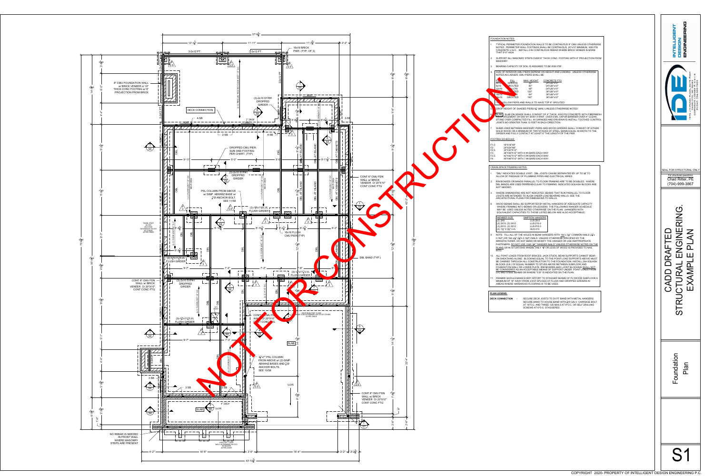1. "DBL" INDICATES DOUBLE JOIST. DBL JOISTS CAN BE SEPARATED BY UP TO 3<sup>1</sup>/<sub>2</sub> TO ALLOW OF PASSAGE OF PLUMBING PIPES AND ELECTRICAL WIRES.

RIM BOARDS OR BANDS PARALLEL TO FLOOR FRAMING ARE TO BE DOUBLED. WHERE DBL BANDS ARE USED PERPENDICULAR TO FRAMING, INDICATED SQUASH BLOCKS ARE

3. WHERE DIMENSIONS ARE NOT INDICATED, BEAMS THAT RUN PARALLEL TO FLOOR JOISTS ARE INTENDED TO ALIGN UNDER LOAD BEARING WALLS. SEE THE

ALL POINT LOADS FROM ROOF BRACES, JACK STUDS, BEAM SUPPORTS CANNOT BEAR ON SHEATHING ALONE. BLOCKING EQUAL TO THE POINT LOAD SUPPORTS ABOVE MUST BE CARRIED THROUGH ALL CONSTRUCTION TO THE FOUNDATION. INSTALL 2X4 SQUASH BLOCKS (S.B.) OF EQUAL NUMBER TO STUDS ABOVE BETWEEN SUBFLOOR AND FOUNDATION WALL OR LOWER PLATE. RIM BOARDS AND I-JOIST BLOCKING SHALL NOT BE CONSIDERED AS AN ACCEPTABLE MEANS OF SUPPORT UNDER POINT LOADS FROM

8. WOOD BEAMS SHALL BE SUPPORTED BY METAL HANGERS OF ADEQUATE CAPACITY WHERE FRAMING INTO BEAMS OR LEDGERS. THE FOLLOWING HANGER SCHEDULE MAY BE USED UNLESS NOTED OTHERWISE ON THE PLAN: (HANGERS WITH EQUIVALENT CAPACITIES TO THOSE LISTED BELOW ARE ALSO ACCEPTABLE)

| <b>MEMBER SIZE</b>     | SIMPSON HANGE  |
|------------------------|----------------|
| (2) 2X8                | LUS 28-2       |
| $(2)$ 2X10, (2) 2X12   | LUS 210-2      |
| $(3)$ 2X10, $(3)$ 2X12 | LUS 210-3      |
| (2) 13/4" X 91/4" LVL  | <b>HUS 410</b> |
|                        |                |

9. NOTE: FILL ALL OF THE HOLES IN BEAM HANGERS WITH <u>16d</u> x 3½" COMMON NAILS (3½" x  $0.162$ ") OR 16d x2 $^{1}_{2}$ " (2 $^{1}_{2}$ "x 0.162") NAILS UNLESS OTHERWISE SPECIFIED BY THE MANUFACTURER. DO NOT BEND OR MODIFY THE HANGER OR USE INAPPROPRIATE FASTENERS. <u>DO NOT USE 10dX 1½" "HANGER NAILS" UNLESS OTHERWISE NOTED ON THE</u> <u>PLANS</u> OR IN SITUATIONS WHERE ONLY 1½" OR LESS OF WOOD IS PROVIDED TO NAIL

SLAB - SLAB ON GRADE SHALL CONSIST OF 4" THICK, 3000 PSI CONCRETE WITH FIBERMESH REINFORCEMENT OR 6X6 W1.4XW1.4 WWF. OVER 6 MIL VAPOR BARRIER OVER 4" CLEAN STONE OVER COMPACTED FILL. IN GARAGES AND DRIVEWAYS INSTALL TOOTHED CONTROL

SHIMS USED BETWEEN MASONRY PIERS AND WOOD GIRDERS SHALL CONSIST OF EITHER SOLID WOOD OR A MINIMUM OF TWO STACKS OF STEEL SHIMS EQUAL IN WIDTH TO THE GIRDER AND FULLY CONTACT AT LEAST 6" THE LENGTH OF THE PIER.

| 18"X18"X8"                        |  |  |  |
|-----------------------------------|--|--|--|
| 24"X24"X8"                        |  |  |  |
| 30"X30"X12"                       |  |  |  |
| 36"X36"X12" WITH 4 #4 BARS EACH \ |  |  |  |
| 42"X42"X12" WITH 5 #4 BARS EACH \ |  |  |  |
|                                   |  |  |  |

11. FRAMER SHOULD MAKE EVERY EFFORT TO STAGGER SEAMS OF PLYWOOD SUBFLOOR A MINIMUM OF 18" AWAY FROM JOIST SPLICES AT FLUSH AND DROPPED GIRDERS IN

1. TYPICAL PERIMETER FOUNDATION WALLS TO BE CONTINUOUS 8" CMU UNLESS OTHERWISE NOTED. PERIMETER WALL FOOTINGS SHALL BE CONTINUOUS 20"x10" MINIMUM, 3000 PSI CONCRETE U.N.O. INSTALL 2-#4 CONTINUOUS REBAR WHERE BRICK VENEER IS MORE

2. SUPPORT ALL MASONRY STEPS OVER 8" THICK CONC. FOOTING WITH 6" PROJECTION FROM

SIZE OF INTERIOR CMU PIERS DEPEND ON HEIGHT AND LOADING. UNLESS OTHERWISE

5. DROP HEIGHT OF SHADED PIERS 94" (MIN.) UNLESS OTHERWISE NOTED

SECURE BAND TO HOUSE BAND WITH  $\frac{5}{8}$ "Ø GALV. CARRIAGE BOLT AT 16"O.C. AND THREE 12D NAILS AT 8"O.C. OR SELF DRILLING SCREWS AT 6"O.C. STAGGERED.

| CMU UNLESS OTHERWISE<br>'x10" MINIMUM, 3000 PSI<br>ICK VENEER IS MORE                                                                      | ONICUPNION<br><b>NTELLIGET</b><br><b>NORDED</b>                                                                                                   |
|--------------------------------------------------------------------------------------------------------------------------------------------|---------------------------------------------------------------------------------------------------------------------------------------------------|
| <b>VITH 6" PROJECTION FROM</b>                                                                                                             |                                                                                                                                                   |
| UNLESS OTHERWISE                                                                                                                           | #2D4<br>m<br>T<br>$28262$<br>E #: C-31<br><b>BUITE</b><br>704-335-7200<br>CHARLOTTE, NC 2<br>RPORATE LICENSE<br>PHONE: 704-335-<br>PLACE<br>PEASE |
| <b>OTED</b><br>NCRETE WITH FIBERMESH<br>RRIER OVER 4" CLEAN<br>STALL TOOTHED CONTROL                                                       | Z<br>F<br>$\overline{c}$<br>945                                                                                                                   |
| ALL CONSIST OF EITHER<br><b>UAL IN WIDTH TO THE</b><br>IER.                                                                                |                                                                                                                                                   |
|                                                                                                                                            | SEAL FOR STRUCTURAL ONLY                                                                                                                          |
| BY UP TO $3\frac{1}{2}$ " TO<br>S.<br><b>E DOUBLED. WHERE</b>                                                                              | For structural questions:<br>Chad Ritter, PE<br>(704)-999-3867                                                                                    |
| SQUASH BLOCKS ARE<br>ALLEL TO FLOOR<br><b>EE THE</b>                                                                                       |                                                                                                                                                   |
| EQUATE CAPACITY<br><b>INGER SCHEDULE</b><br><b>SERS WITH</b><br>CEPTABLE)                                                                  |                                                                                                                                                   |
| COMMON NAILS (3 <sup>1</sup> / <sub>2</sub> x<br><b>IED BY THE</b><br>INAPPROPRIATE<br>ERWISE NOTED ON THE<br>PROVIDED TO NAIL             | ENGINERING<br>ENGINERING.                                                                                                                         |
| ORTS CANNOT BEAR<br><b>JPPORTS ABOVE MUST</b><br>. INSTALL 2X4 SQUASH<br><b>IBFLOOR AND</b><br>LOCKING SHALL NOT<br>POINT LOADS FROM<br>W. | <b>EXAMPLE</b><br>Ш<br>DR                                                                                                                         |
| PLYWOOD SUBFLOOR A<br>PED GIRDERS IN                                                                                                       | CADD I                                                                                                                                            |
| H METAL HANGERS.<br><b>GALV. CARRIAGE BOLT</b><br>OR SELF DRILLING                                                                         | STRUCTURAI                                                                                                                                        |
|                                                                                                                                            |                                                                                                                                                   |
|                                                                                                                                            | undation<br><b>Plan</b>                                                                                                                           |
|                                                                                                                                            | O<br>LL                                                                                                                                           |
|                                                                                                                                            |                                                                                                                                                   |
|                                                                                                                                            |                                                                                                                                                   |
| COPYRIGHT 2020- PROPERTY OF INTELLIGENT DESIGN ENGINEERING P.C.                                                                            | S'                                                                                                                                                |

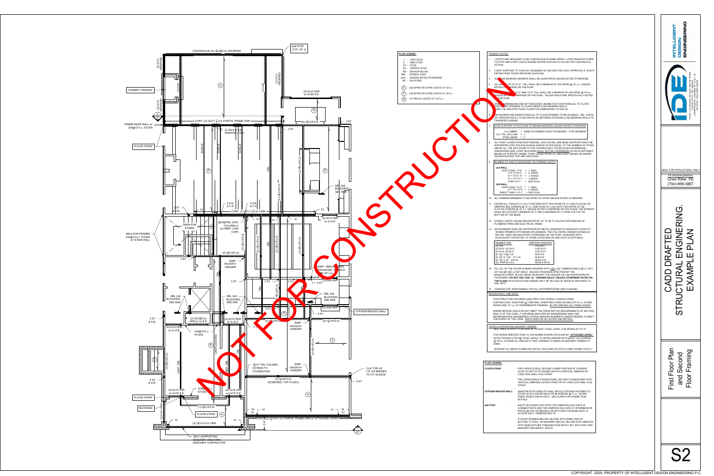## FRAMING NOTES: 1. I-JOISTS ARE DESIGNED TO BE CONTINUOUS IN SOME AREAS. I-JOIST MANUFACTURER TO STOP AND START JOISTS WHERE SHOWN ON PLAN TO ALLOW FOR CONTINUOUS ACTION. 2. I-JOIST SUPPLIER TO CONTACT ENGINEER OF RECORD FOR JOIST APPROVAL IF JOISTS DIFFER FROM THOSE SPECIFIED ON PLANS. ALL COAD BEARING HEADERS SHALL BE (2)2X8 SPF#2 UNLESS NOTED OTHERWISE ALL WALL SUP TO 10'-2". TALL SHALL BE A MINIMUM OF 2X4 SPF#2 @ 16" o.c. UNLESS NOTED ON **RWISE ON THE PLAN.** WALLS BE A MINIMUM OF 2X6 SPF#2 @ 16"o.c. UNLESS NOTED OTHERWISE ON THE PLAN. TALLER WALLS ARE SPECIFICALLY NOTED THE PLAN. OIMENSIONS ARE NOT INDICATED, BEAMS THAT RUN PARALLEL TO FLOOR JOISTS ARE INTENDED TO ALIGN UNDER LOAD BEARING WALLS (SEE THE ARCHITECTURAL PLANS FOR DIMENSIONS TO WALLS) 6. RIM BOARDS AND BANDS PARALLEL TO FLOOR FRAMING TO BE DOUBLED. DBL JOISTS OR CRIPPLES WALLS TO BE INSTALLED BETWEEN STACKING LOAD BEARING WALLS TO TRANSFER LOADING. STUD SUPPORT AT EACH END OF BEAMS/HEADERS UNLESS NOTED OTHERWISE 2x LUMBER = SAME AS NUMBER PLIES FOR BEAMS; 1 FOR HEADERS LVL, PSL, GLU-LAM = 3 STEEL BEAM = 5 ALL POINT LOADS FROM ROOF BRACES, JACK STUDS, AND BEAM SUPPORTS MUST BE SUPPORTED WITH SOLID BLOCKING AND/OR STUDS EQUAL TO THE NUMBER OF STUDS ABOVE ALL THE WAY DOWN TO THE FOUNDATION (1 STUD/2X4 BLOCK MINIMUM) (RIM BOARDS AND I-JOIST BLOCKING SHALL NOT BE CONSIDERED AS AN ACCEPTABLE MEANS OF SUPPORT UNDER POINT LOADS FROM LVL AND STEEL BEAMS OR WHERE SQUASH BLOCKS "S.B" ARE INDICATED NUMBER OF KING STUDS BASED ON OPENING WIDTH: **2x4 WALL** LESS THAN < 3'-9" = 1 KING 3'-9" TO 6'-0" = 2 KINGS 6'-1" TO 8 '-0" = 3 KINGS 8'-1" TO 10'-1" = 4 KINGS OVER  $10'-1$ " = SEE PLAN  **2X6 WALL** LESS THAN  $<$  5'-0" = 1 KING 5'-1" TO 10'-0" = 2 KINGS GREAT THAN  $> 10'-1" = \text{SEE PLAN}$ 10. ALL FRAMING MEMBERS TO BE SPF#2 OR SYP#2 UNLESS NOTED OTHERWISE . FASTEN ALL TRIPLE PLY LVLs TOGETHER WITH TWO ROWS OF 5" LONG FLATLOK OR SIMPSON SDS SCREWS @ 16" o.c. AND FOUR PLY LVLs WITH TWO ROWS OF 6 3 4" FLATLOK SCREWS @ 16" o.c. UNLESS NOTED OTHERWISE ON THE PLANS. THE SCREWS SHALL BE LOCATED A MINIMUM OF 2" AND A MAXIMUM OF 3" FROM THE TOP OR BOTTOM OF THE BEAM. 12. DOUBLE JOISTS CAN BE SEPARATED BY UP TO  $3\frac{1}{2}$ " TO ALLOW FOR PASSAGE OF PLUMBING PIPES AND ELECTRICAL WIRES. 13. WOOD BEAMS SHALL BE SUPPORTED BY METAL HANGERS OF ADEQUATE CAPACITY WHERE FRAMING INTO BEAMS OR LEDGERS. THE FOLLOWING HANGER SCHEDULE MAY BE USED UNLESS NOTED OTHERWISE ON THE PLAN: (HANGERS WITH EQUIVALENT CAPACITIES TO THOSE LISTED BELOW ARE ALSO ACCEPTABLE) MEMBER SIZE SIMPSON HANGERS (2) 2X8 LUS 28-2 (2) 2X10, (2) 2X12 LUS 210-2 (3)-2x10, (3)-2x12 LUS 210-3 (2) 1 3 <sup>4</sup>" X 9 1 HUS 410 (2) 1 3 <sup>4</sup>" X 11 7 <sup>8</sup>" - 14" LVL HUS 412 (2) 1 3 <sup>4</sup>" X 16" - 24"LVL HHUS 410 ALL TRIPLE LVLs HHUS 5.50/10 14. FILL ALL OF THE HOLES IN BEAM HANGERS WITH <u>16d x</u> 3½" COMMON NAILS (3½<del>1</del>"x 0.162") OR 16d x2 $^{1}_{2}$ " (2 $^{1}_{2}$ "x 0.162") NAILS UNLESS OTHERWISE SPECIFIED BY THE MANUFACTURER. DO NOT BEND OR MODIFY THE HANGER OR USE INAPPROPRIATE FASTENERS. **DO NOT USE 10dX 1 1 <sup>2</sup>" "HANGER NAILS" UNLESS OTHERWISE NOTED ON THE PLANS** OR IN SITUATIONS WHERE ONLY 1 $^3_4$ " OR LESS OF WOOD IS PROVIDED TO NAIL INTO. 15. CONTRACTOR RESPONSIBLE FOR ALL WATERPROOFING AND FLASHING. BRACED WALL LINE NOTE: THIS STRUCTURE HAS BEEN ANALYZED FOR LATERAL LOADING USING  $\operatorname{\mathsf{CONTINUOUSLY}}$  SHEATHED  $\frac{7}{16}$ " OSB WALL SHEATHING USING 8d NAILS AT 6" o.c. ALONG EDGES AND 12" o.c. AT INTERMEDIATE FRAMING. BLOCK AND NAIL ALL PANEL EDGES. WHERE BRACED WALLS DO NOT MEET THE PRESCRIPTIVE REQUIREMENTS OF SECTION R602.10 OF THE CODE, IT HAS BEEN ANALYZED BY ENGINEERING ANALYSIS INCORPORATING ENGINEERED LATERAL BRACING ELEMENTS WHERE NEEDED TO MEET THE INTENT OF THE CODE. SEE PLANS FOR ALL NOTES AND DETAILS. LINTELS SUPPORTING MASONRY VENEER SEE TABLE R703.8.3.1 FOR SIZE OF "LOOSE'" STEEL LINTEL FOR SPANS UP TO 10'. FOR SPANS GREATER THAN 10' (OR WHERE SHOWN ON PLANS BY **' ATTACHED LINTEL'**  NOTE) FASTEN L4"X4"X $\frac{5}{16}$ " STEEL ANGLE TO WOOD HEADER WITH  $\frac{1}{2}$ "ØX4" LAG SCREWS @ 16"o.c. EXTEND ALL ANGLES 6" PAST OPENING TO BEAR ON MASONRY VENEER AT ENDS. SUPPORT ALL BRICK CLIMBS PER DETAIL ON PLANS OR R703.8.2 AND FIGURE 703.8.2.1 **FLOOR STRAP** - FOR UPPER LEVELS, SECURE LOWER PORTION OF CURRENT LEVEL STUDS TO STUDS BELOW WITH VERTICAL SIMPSON 40" LONG CS20 (MIN.) COIL STRAP. FOR CRAWLSPACE FOUNDATIONS, SECURE TO RIM BOARD WITH VERTICAL SIMPSON LSTA24 STRAP OR 24" LONG CS18 (MIN.) COIL STRAP. **GYPSUM BRACED WALL**- SHEATHE BOTH SIDES OF WALL WITH  $\frac{1}{2}$ " GYPSUM FASTENED TO STUDS W/ 5d COOLER NAILS OR #6 SCREWS @ 7" o.c. ALONG PANEL EDGES AND IN FIELD. SEE PLANS FOR CONNECTION DETAILS. 8x8 POST **- 8x8 PT OR CEDAR POST WITH TWO SIMPSON LCE4 CAPS AT** CORNER POSTS AND TWO SIMPSON AC6 CAPS AT INTERMEDIATE POSTS (BLOCK AS NEEDED) OR NOTCHED FOR BEAM SEAT w/ (2)-5/8"Ø GALV. CARRIAGE BOLTS. IF WOOD FRAMING BELOW, SECURE WITH SAME CAPS AT BOTTOM; IF CONC. OR MASONRY BELOW, SECURE WITH SIMPSON CPS7 BASE WITH  $\frac{5}{8}$ "Ø THREADED ROD EPOXY SET INTO POST AND MASONRY PER MANUF. SPECS. COPYRIGHT 2020- PROPERTY OF INTELLIGENT DESIGN ENGINEERING P.C. COPYRIGHT 2020- PROPERTY OF INTELLIGENT DESIGN ENGINEERING P.C. FOR ANY CONTRIGHT 2020- PROPERTY OF INTELLIGENT DESIGN ENGINEERING P.C. SEAL FOR STRUCTURAL ONLY *For structural questions:* Chad Ritter, PE (704)-999-3867 CADD DRAFTED<br>STRUCTURAL ENGINERING.<br>EXAMPLE PLAN

 $\mathbf{C}$ 

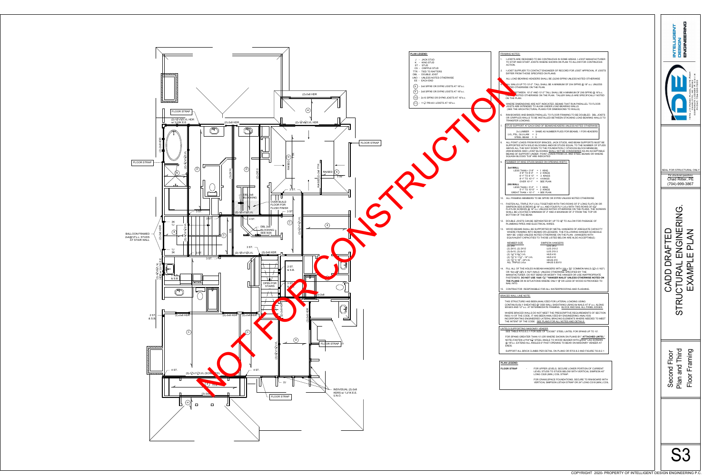| I-JOISTS ARE DESIGNED TO BE CONTINUOUS IN SOME AREAS. I-JOIST MANUFACTURER<br>TO STOP AND START JOISTS WHERE SHOWN ON PLAN TO ALLOW FOR CONTINUOUS<br>ACTION.<br>I-JOIST SUPPLIER TO CONTACT ENGINEER OF RECORD FOR JOIST APPROVAL IF JOISTS<br>2.<br>DIFFER FROM THOSE SPECIFIED ON PLANS.<br>ALL LOAD BEARING HEADERS SHALL BE (2)2X8 SPF#2 UNLESS NOTED OTHERWISE<br>LL WALLS UP TO 10'-2". TALL SHALL BE A MINIMUM OF 2X4 SPF#2 @ 16" o.c. UNLESS<br>TED OTHERWISE ON THE PLAN.<br>RETWEEN 10'-2" AND 13'-2" TALL SHALL BE A MINIMUM OF 2X6 SPF#2 @ 16"o.c.<br>VINSEL VIOTED OTHERWISE ON THE PLAN. TALLER WALLS ARE SPECIFICALLY NOTED<br>ON THE PLAN.<br>WHERE DIMENSIONS ARE NOT INDICATED, BEAMS THAT RUN PARALLEL TO FLOOR<br>JOISTS ARE INTENDED TO ALIGN UNDER LOAD BEARING WALLS<br>(SEE THE ARCHITECTURAL PLANS FOR DIMENSIONS TO WALLS)<br>ο<br>w<br>RIM BOARDS AND BANDS PARALLEL TO FLOOR FRAMING TO BE DOUBLED. DBL JOISTS<br>6.<br>4<br>c<br>OR CRIPPLES WALLS TO BE INSTALLED BETWEEN STACKING LOAD BEARING WALLS TO<br>TRANSFER LOADING.<br>STUD SUPPORT AT EACH END OF BEAMS/HEADERS UNLESS NOTED OTHERWISE<br>7.<br>2x LUMBER = SAME AS NUMBER PLIES FOR BEAMS; 1 FOR HEADERS<br>LVL, PSL, GLU-LAM = $3$<br>STEEL BEAM = 5<br>ALL POINT LOADS FROM ROOF BRACES, JACK STUDS, AND BEAM SUPPORTS MUST BE<br>8.<br>SUPPORTED WITH SOLID BLOCKING AND/OR STUDS EQUAL TO THE NUMBER OF STUDS<br>ABOVE ALL THE WAY DOWN TO THE FOUNDATION (1 STUD/2X4 BLOCK MINIMUM)<br>(RIM BOARDS AND I-JOIST BLOCKING SHALL NOT BE CONSIDERED AS AN ACCEPTABLE<br>MEANS OF SUPPORT UNDER POINT LOADS FROM LVL AND STEEL BEAMS OR WHERE<br>SQUASH BLOCKS "S.B" ARE INDICATED<br>NUMBER OF KING STUDS BASED ON OPENING WIDTH:<br>9.<br>2x4 WALL<br>LESS THAN < $3'-9''$ = 1 KING<br>$3'-9''$ TO 6'-0" = 2 KINGS<br>For structural questions:<br>$6'$ -1" TO 8 '-0" = 3 KINGS<br>$8'-1$ TO $10'-1$ = 4 KINGS<br>Chad Ritter, PE<br>OVER $10'-1" = \text{SEE PLAN}$<br>(704)-999-3867<br>2X6 WALL<br>LESS THAN < $5'-0" = 1$ KING<br>$5'$ -1" TO 10'-0" = 2 KINGS<br>GREAT THAN > 10'-1" = SEE PLAN<br>10. ALL FRAMING MEMBERS TO BE SPF#2 OR SYP#2 UNLESS NOTED OTHERWISE<br>11. FASTEN ALL TRIPLE PLY LVLs TOGETHER WITH TWO ROWS OF 5" LONG FLATLOK OR<br>SIMPSON SDS SCREWS @ 16" o.c. AND FOUR PLY LVLs WITH TWO ROWS OF 63/4"<br>$\mathbf C$<br>FLATLOK SCREWS @ 16" o.c. UNLESS NOTED OTHERWISE ON THE PLANS. THE SCREWS<br>SHALL BE LOCATED A MINIMUM OF 2" AND A MAXIMUM OF 3" FROM THE TOP OR<br>$\frac{\bar{\mathsf{Z}}}{\mathsf{Z}}$<br>BOTTOM OF THE BEAM.<br>12. DOUBLE JOISTS CAN BE SEPARATED BY UP TO 3 <sup>4</sup> " TO ALLOW FOR PASSAGE OF<br>PLUMBING PIPES AND ELECTRICAL WIRES.<br>WOOD BEAMS SHALL BE SUPPORTED BY METAL HANGERS OF ADEQUATE CAPACITY<br>13.<br>こく<br>WHERE FRAMING INTO BEAMS OR LEDGERS. THE FOLLOWING HANGER SCHEDULE<br>MAY BE USED UNLESS NOTED OTHERWISE ON THE PLAN: (HANGERS WITH<br>EQUIVALENT CAPACITIES TO THOSE LISTED BELOW ARE ALSO ACCEPTABLE)<br><b>MEMBER SIZE</b><br><b>SIMPSON HANGERS</b><br>LUS 28-2<br>(2) 2X8<br>(2) 2X10, (2) 2X12<br>LUS 210-2<br>LUS 210-3<br>$(3)-2x10$ , $(3)-2x12$<br>(2) 13/4" X 93/4" LVL<br><b>HUS 410</b><br>(2) 13/4" X 117/8" - 14" LVL<br><b>HUS 412</b><br><b>HHUS 410</b><br>(2) 13/4" X 16" - 24"LVL<br>ALL TRIPLE LVLs<br>HHUS 5.50/10<br>AMPI<br>14. FILL ALL OF THE HOLES IN BEAM HANGERS WITH 16d x 3 <sup>1/2</sup> " COMMON NAILS (3 <sup>1</sup> /3 <sup>1</sup> x 0.162")<br>OR 16d $x2\frac{1}{2}$ " ( $2\frac{1}{2}$ "x 0.162") NAILS UNLESS OTHERWISE SPECIFIED BY THE<br>MANUFACTURER. DO NOT BEND OR MODIFY THE HANGER OR USE INAPPROPRIATE<br>FASTENERS. DO NOT USE 10dX 11/2" "HANGER NAILS" UNLESS OTHERWISE NOTED ON<br><b>THE PLANS</b> OR IN SITUATIONS WHERE ONLY $1\frac{3}{4}$ " OR LESS OF WOOD IS PROVIDED TO<br>NAIL INTO.<br>15. CONTRACTOR RESPONSIBLE FOR ALL WATERPROOFING AND FLASHING.<br><b>BRACED WALL LINE NOTE:</b><br>THIS STRUCTURE HAS BEEN ANALYZED FOR LATERAL LOADING USING<br>CONTINUOUSLY SHEATHED $\frac{7}{16}$ " OSB WALL SHEATHING USING 8d NAILS AT 6" o.c. ALONG<br>EDGES AND 12" o.c. AT INTERMEDIATE FRAMING. BLOCK AND NAIL ALL PANEL EDGES.<br>WHERE BRACED WALLS DO NOT MEET THE PRESCRIPTIVE REQUIREMENTS OF SECTION<br>R602.10 OF THE CODE, IT HAS BEEN ANALYZED BY ENGINEERING ANALYSIS<br>INCORPORATING ENGINEERED LATERAL BRACING ELEMENTS WHERE NEEDED TO MEET<br>THE INTENT OF THE CODE. SEE PLANS FOR ALL NOTES AND DETAILS.<br>LINTELS SUPPORTING MASONRY VENEER<br>SEE TABLE R703.8.3.1 FOR SIZE OF "LOOSE" STEEL LINTEL FOR SPANS UP TO 10'.<br>FOR SPANS GREATER THAN 10' (OR WHERE SHOWN ON PLANS BY 'ATTACHED LINTEL'<br>NOTE) FASTEN L4"X4"X $\frac{5}{16}$ " STEEL ANGLE TO WOOD HEADER WITH $\frac{1}{2}$ "ØX4" LAG SCREWS<br>@ 16"o.c. EXTEND ALL ANGLES 6" PAST OPENING TO BEAR ON MASONRY VENEER AT<br>ENDS.<br>ond Floor<br>and Third<br>Framing<br>SUPPORT ALL BRICK CLIMBS PER DETAIL ON PLANS OR R703.8.2 AND FIGURE 703.8.2.1<br><b>PLAN LEGEND:</b><br>pnd<br><b>FLOOR STRAP</b><br>FOR UPPER LEVELS, SECURE LOWER PORTION OF CURRENT<br>LEVEL STUDS TO STUDS BELOW WITH VERTICAL SIMPSON 40"<br>LONG CS20 (MIN.) COIL STRAP.<br>Secc<br>Plan<br>Floo<br>FOR CRAWLSPACE FOUNDATIONS, SECURE TO RIM BOARD WITH<br>VERTICAL SIMPSON LSTA24 STRAP OR 24" LONG CS18 (MIN.) COIL | <b>FRAMING NOTES:</b>                                           | υ<br>Σ<br>ά<br>WNICIN<br><b>NONDIA</b> |
|-----------------------------------------------------------------------------------------------------------------------------------------------------------------------------------------------------------------------------------------------------------------------------------------------------------------------------------------------------------------------------------------------------------------------------------------------------------------------------------------------------------------------------------------------------------------------------------------------------------------------------------------------------------------------------------------------------------------------------------------------------------------------------------------------------------------------------------------------------------------------------------------------------------------------------------------------------------------------------------------------------------------------------------------------------------------------------------------------------------------------------------------------------------------------------------------------------------------------------------------------------------------------------------------------------------------------------------------------------------------------------------------------------------------------------------------------------------------------------------------------------------------------------------------------------------------------------------------------------------------------------------------------------------------------------------------------------------------------------------------------------------------------------------------------------------------------------------------------------------------------------------------------------------------------------------------------------------------------------------------------------------------------------------------------------------------------------------------------------------------------------------------------------------------------------------------------------------------------------------------------------------------------------------------------------------------------------------------------------------------------------------------------------------------------------------------------------------------------------------------------------------------------------------------------------------------------------------------------------------------------------------------------------------------------------------------------------------------------------------------------------------------------------------------------------------------------------------------------------------------------------------------------------------------------------------------------------------------------------------------------------------------------------------------------------------------------------------------------------------------------------------------------------------------------------------------------------------------------------------------------------------------------------------------------------------------------------------------------------------------------------------------------------------------------------------------------------------------------------------------------------------------------------------------------------------------------------------------------------------------------------------------------------------------------------------------------------------------------------------------------------------------------------------------------------------------------------------------------------------------------------------------------------------------------------------------------------------------------------------------------------------------------------------------------------------------------------------------------------------------------------------------------------------------------------------------------------------------------------------------------------------------------------------------------------------------------------------------------------------------------------------------------------------------------------------------------------------------------------------------------------------------------------------------------------------------------------------------------------------------------------------------------------------------------------------------------------------------------------------------------------------------------------------------------------------------------------------------------------------------------------------------------------------------------------------------------------------------------------------------------------------------------------------------------------------------------------------------------------------------------------------------------------------------------------------------------------------------------------------------------------------------------------------------------------------------------------------------------------------|-----------------------------------------------------------------|----------------------------------------|
|                                                                                                                                                                                                                                                                                                                                                                                                                                                                                                                                                                                                                                                                                                                                                                                                                                                                                                                                                                                                                                                                                                                                                                                                                                                                                                                                                                                                                                                                                                                                                                                                                                                                                                                                                                                                                                                                                                                                                                                                                                                                                                                                                                                                                                                                                                                                                                                                                                                                                                                                                                                                                                                                                                                                                                                                                                                                                                                                                                                                                                                                                                                                                                                                                                                                                                                                                                                                                                                                                                                                                                                                                                                                                                                                                                                                                                                                                                                                                                                                                                                                                                                                                                                                                                                                                                                                                                                                                                                                                                                                                                                                                                                                                                                                                                                                                                                                                                                                                                                                                                                                                                                                                                                                                                                                                                                                                           |                                                                 |                                        |
|                                                                                                                                                                                                                                                                                                                                                                                                                                                                                                                                                                                                                                                                                                                                                                                                                                                                                                                                                                                                                                                                                                                                                                                                                                                                                                                                                                                                                                                                                                                                                                                                                                                                                                                                                                                                                                                                                                                                                                                                                                                                                                                                                                                                                                                                                                                                                                                                                                                                                                                                                                                                                                                                                                                                                                                                                                                                                                                                                                                                                                                                                                                                                                                                                                                                                                                                                                                                                                                                                                                                                                                                                                                                                                                                                                                                                                                                                                                                                                                                                                                                                                                                                                                                                                                                                                                                                                                                                                                                                                                                                                                                                                                                                                                                                                                                                                                                                                                                                                                                                                                                                                                                                                                                                                                                                                                                                           |                                                                 |                                        |
|                                                                                                                                                                                                                                                                                                                                                                                                                                                                                                                                                                                                                                                                                                                                                                                                                                                                                                                                                                                                                                                                                                                                                                                                                                                                                                                                                                                                                                                                                                                                                                                                                                                                                                                                                                                                                                                                                                                                                                                                                                                                                                                                                                                                                                                                                                                                                                                                                                                                                                                                                                                                                                                                                                                                                                                                                                                                                                                                                                                                                                                                                                                                                                                                                                                                                                                                                                                                                                                                                                                                                                                                                                                                                                                                                                                                                                                                                                                                                                                                                                                                                                                                                                                                                                                                                                                                                                                                                                                                                                                                                                                                                                                                                                                                                                                                                                                                                                                                                                                                                                                                                                                                                                                                                                                                                                                                                           |                                                                 |                                        |
|                                                                                                                                                                                                                                                                                                                                                                                                                                                                                                                                                                                                                                                                                                                                                                                                                                                                                                                                                                                                                                                                                                                                                                                                                                                                                                                                                                                                                                                                                                                                                                                                                                                                                                                                                                                                                                                                                                                                                                                                                                                                                                                                                                                                                                                                                                                                                                                                                                                                                                                                                                                                                                                                                                                                                                                                                                                                                                                                                                                                                                                                                                                                                                                                                                                                                                                                                                                                                                                                                                                                                                                                                                                                                                                                                                                                                                                                                                                                                                                                                                                                                                                                                                                                                                                                                                                                                                                                                                                                                                                                                                                                                                                                                                                                                                                                                                                                                                                                                                                                                                                                                                                                                                                                                                                                                                                                                           |                                                                 |                                        |
|                                                                                                                                                                                                                                                                                                                                                                                                                                                                                                                                                                                                                                                                                                                                                                                                                                                                                                                                                                                                                                                                                                                                                                                                                                                                                                                                                                                                                                                                                                                                                                                                                                                                                                                                                                                                                                                                                                                                                                                                                                                                                                                                                                                                                                                                                                                                                                                                                                                                                                                                                                                                                                                                                                                                                                                                                                                                                                                                                                                                                                                                                                                                                                                                                                                                                                                                                                                                                                                                                                                                                                                                                                                                                                                                                                                                                                                                                                                                                                                                                                                                                                                                                                                                                                                                                                                                                                                                                                                                                                                                                                                                                                                                                                                                                                                                                                                                                                                                                                                                                                                                                                                                                                                                                                                                                                                                                           |                                                                 |                                        |
|                                                                                                                                                                                                                                                                                                                                                                                                                                                                                                                                                                                                                                                                                                                                                                                                                                                                                                                                                                                                                                                                                                                                                                                                                                                                                                                                                                                                                                                                                                                                                                                                                                                                                                                                                                                                                                                                                                                                                                                                                                                                                                                                                                                                                                                                                                                                                                                                                                                                                                                                                                                                                                                                                                                                                                                                                                                                                                                                                                                                                                                                                                                                                                                                                                                                                                                                                                                                                                                                                                                                                                                                                                                                                                                                                                                                                                                                                                                                                                                                                                                                                                                                                                                                                                                                                                                                                                                                                                                                                                                                                                                                                                                                                                                                                                                                                                                                                                                                                                                                                                                                                                                                                                                                                                                                                                                                                           |                                                                 |                                        |
|                                                                                                                                                                                                                                                                                                                                                                                                                                                                                                                                                                                                                                                                                                                                                                                                                                                                                                                                                                                                                                                                                                                                                                                                                                                                                                                                                                                                                                                                                                                                                                                                                                                                                                                                                                                                                                                                                                                                                                                                                                                                                                                                                                                                                                                                                                                                                                                                                                                                                                                                                                                                                                                                                                                                                                                                                                                                                                                                                                                                                                                                                                                                                                                                                                                                                                                                                                                                                                                                                                                                                                                                                                                                                                                                                                                                                                                                                                                                                                                                                                                                                                                                                                                                                                                                                                                                                                                                                                                                                                                                                                                                                                                                                                                                                                                                                                                                                                                                                                                                                                                                                                                                                                                                                                                                                                                                                           |                                                                 |                                        |
|                                                                                                                                                                                                                                                                                                                                                                                                                                                                                                                                                                                                                                                                                                                                                                                                                                                                                                                                                                                                                                                                                                                                                                                                                                                                                                                                                                                                                                                                                                                                                                                                                                                                                                                                                                                                                                                                                                                                                                                                                                                                                                                                                                                                                                                                                                                                                                                                                                                                                                                                                                                                                                                                                                                                                                                                                                                                                                                                                                                                                                                                                                                                                                                                                                                                                                                                                                                                                                                                                                                                                                                                                                                                                                                                                                                                                                                                                                                                                                                                                                                                                                                                                                                                                                                                                                                                                                                                                                                                                                                                                                                                                                                                                                                                                                                                                                                                                                                                                                                                                                                                                                                                                                                                                                                                                                                                                           |                                                                 |                                        |
|                                                                                                                                                                                                                                                                                                                                                                                                                                                                                                                                                                                                                                                                                                                                                                                                                                                                                                                                                                                                                                                                                                                                                                                                                                                                                                                                                                                                                                                                                                                                                                                                                                                                                                                                                                                                                                                                                                                                                                                                                                                                                                                                                                                                                                                                                                                                                                                                                                                                                                                                                                                                                                                                                                                                                                                                                                                                                                                                                                                                                                                                                                                                                                                                                                                                                                                                                                                                                                                                                                                                                                                                                                                                                                                                                                                                                                                                                                                                                                                                                                                                                                                                                                                                                                                                                                                                                                                                                                                                                                                                                                                                                                                                                                                                                                                                                                                                                                                                                                                                                                                                                                                                                                                                                                                                                                                                                           |                                                                 | SEAL FOR STRUCTURAL ONLY               |
|                                                                                                                                                                                                                                                                                                                                                                                                                                                                                                                                                                                                                                                                                                                                                                                                                                                                                                                                                                                                                                                                                                                                                                                                                                                                                                                                                                                                                                                                                                                                                                                                                                                                                                                                                                                                                                                                                                                                                                                                                                                                                                                                                                                                                                                                                                                                                                                                                                                                                                                                                                                                                                                                                                                                                                                                                                                                                                                                                                                                                                                                                                                                                                                                                                                                                                                                                                                                                                                                                                                                                                                                                                                                                                                                                                                                                                                                                                                                                                                                                                                                                                                                                                                                                                                                                                                                                                                                                                                                                                                                                                                                                                                                                                                                                                                                                                                                                                                                                                                                                                                                                                                                                                                                                                                                                                                                                           |                                                                 |                                        |
|                                                                                                                                                                                                                                                                                                                                                                                                                                                                                                                                                                                                                                                                                                                                                                                                                                                                                                                                                                                                                                                                                                                                                                                                                                                                                                                                                                                                                                                                                                                                                                                                                                                                                                                                                                                                                                                                                                                                                                                                                                                                                                                                                                                                                                                                                                                                                                                                                                                                                                                                                                                                                                                                                                                                                                                                                                                                                                                                                                                                                                                                                                                                                                                                                                                                                                                                                                                                                                                                                                                                                                                                                                                                                                                                                                                                                                                                                                                                                                                                                                                                                                                                                                                                                                                                                                                                                                                                                                                                                                                                                                                                                                                                                                                                                                                                                                                                                                                                                                                                                                                                                                                                                                                                                                                                                                                                                           |                                                                 |                                        |
|                                                                                                                                                                                                                                                                                                                                                                                                                                                                                                                                                                                                                                                                                                                                                                                                                                                                                                                                                                                                                                                                                                                                                                                                                                                                                                                                                                                                                                                                                                                                                                                                                                                                                                                                                                                                                                                                                                                                                                                                                                                                                                                                                                                                                                                                                                                                                                                                                                                                                                                                                                                                                                                                                                                                                                                                                                                                                                                                                                                                                                                                                                                                                                                                                                                                                                                                                                                                                                                                                                                                                                                                                                                                                                                                                                                                                                                                                                                                                                                                                                                                                                                                                                                                                                                                                                                                                                                                                                                                                                                                                                                                                                                                                                                                                                                                                                                                                                                                                                                                                                                                                                                                                                                                                                                                                                                                                           |                                                                 |                                        |
|                                                                                                                                                                                                                                                                                                                                                                                                                                                                                                                                                                                                                                                                                                                                                                                                                                                                                                                                                                                                                                                                                                                                                                                                                                                                                                                                                                                                                                                                                                                                                                                                                                                                                                                                                                                                                                                                                                                                                                                                                                                                                                                                                                                                                                                                                                                                                                                                                                                                                                                                                                                                                                                                                                                                                                                                                                                                                                                                                                                                                                                                                                                                                                                                                                                                                                                                                                                                                                                                                                                                                                                                                                                                                                                                                                                                                                                                                                                                                                                                                                                                                                                                                                                                                                                                                                                                                                                                                                                                                                                                                                                                                                                                                                                                                                                                                                                                                                                                                                                                                                                                                                                                                                                                                                                                                                                                                           |                                                                 |                                        |
|                                                                                                                                                                                                                                                                                                                                                                                                                                                                                                                                                                                                                                                                                                                                                                                                                                                                                                                                                                                                                                                                                                                                                                                                                                                                                                                                                                                                                                                                                                                                                                                                                                                                                                                                                                                                                                                                                                                                                                                                                                                                                                                                                                                                                                                                                                                                                                                                                                                                                                                                                                                                                                                                                                                                                                                                                                                                                                                                                                                                                                                                                                                                                                                                                                                                                                                                                                                                                                                                                                                                                                                                                                                                                                                                                                                                                                                                                                                                                                                                                                                                                                                                                                                                                                                                                                                                                                                                                                                                                                                                                                                                                                                                                                                                                                                                                                                                                                                                                                                                                                                                                                                                                                                                                                                                                                                                                           |                                                                 |                                        |
|                                                                                                                                                                                                                                                                                                                                                                                                                                                                                                                                                                                                                                                                                                                                                                                                                                                                                                                                                                                                                                                                                                                                                                                                                                                                                                                                                                                                                                                                                                                                                                                                                                                                                                                                                                                                                                                                                                                                                                                                                                                                                                                                                                                                                                                                                                                                                                                                                                                                                                                                                                                                                                                                                                                                                                                                                                                                                                                                                                                                                                                                                                                                                                                                                                                                                                                                                                                                                                                                                                                                                                                                                                                                                                                                                                                                                                                                                                                                                                                                                                                                                                                                                                                                                                                                                                                                                                                                                                                                                                                                                                                                                                                                                                                                                                                                                                                                                                                                                                                                                                                                                                                                                                                                                                                                                                                                                           |                                                                 |                                        |
|                                                                                                                                                                                                                                                                                                                                                                                                                                                                                                                                                                                                                                                                                                                                                                                                                                                                                                                                                                                                                                                                                                                                                                                                                                                                                                                                                                                                                                                                                                                                                                                                                                                                                                                                                                                                                                                                                                                                                                                                                                                                                                                                                                                                                                                                                                                                                                                                                                                                                                                                                                                                                                                                                                                                                                                                                                                                                                                                                                                                                                                                                                                                                                                                                                                                                                                                                                                                                                                                                                                                                                                                                                                                                                                                                                                                                                                                                                                                                                                                                                                                                                                                                                                                                                                                                                                                                                                                                                                                                                                                                                                                                                                                                                                                                                                                                                                                                                                                                                                                                                                                                                                                                                                                                                                                                                                                                           |                                                                 |                                        |
|                                                                                                                                                                                                                                                                                                                                                                                                                                                                                                                                                                                                                                                                                                                                                                                                                                                                                                                                                                                                                                                                                                                                                                                                                                                                                                                                                                                                                                                                                                                                                                                                                                                                                                                                                                                                                                                                                                                                                                                                                                                                                                                                                                                                                                                                                                                                                                                                                                                                                                                                                                                                                                                                                                                                                                                                                                                                                                                                                                                                                                                                                                                                                                                                                                                                                                                                                                                                                                                                                                                                                                                                                                                                                                                                                                                                                                                                                                                                                                                                                                                                                                                                                                                                                                                                                                                                                                                                                                                                                                                                                                                                                                                                                                                                                                                                                                                                                                                                                                                                                                                                                                                                                                                                                                                                                                                                                           |                                                                 |                                        |
|                                                                                                                                                                                                                                                                                                                                                                                                                                                                                                                                                                                                                                                                                                                                                                                                                                                                                                                                                                                                                                                                                                                                                                                                                                                                                                                                                                                                                                                                                                                                                                                                                                                                                                                                                                                                                                                                                                                                                                                                                                                                                                                                                                                                                                                                                                                                                                                                                                                                                                                                                                                                                                                                                                                                                                                                                                                                                                                                                                                                                                                                                                                                                                                                                                                                                                                                                                                                                                                                                                                                                                                                                                                                                                                                                                                                                                                                                                                                                                                                                                                                                                                                                                                                                                                                                                                                                                                                                                                                                                                                                                                                                                                                                                                                                                                                                                                                                                                                                                                                                                                                                                                                                                                                                                                                                                                                                           |                                                                 |                                        |
|                                                                                                                                                                                                                                                                                                                                                                                                                                                                                                                                                                                                                                                                                                                                                                                                                                                                                                                                                                                                                                                                                                                                                                                                                                                                                                                                                                                                                                                                                                                                                                                                                                                                                                                                                                                                                                                                                                                                                                                                                                                                                                                                                                                                                                                                                                                                                                                                                                                                                                                                                                                                                                                                                                                                                                                                                                                                                                                                                                                                                                                                                                                                                                                                                                                                                                                                                                                                                                                                                                                                                                                                                                                                                                                                                                                                                                                                                                                                                                                                                                                                                                                                                                                                                                                                                                                                                                                                                                                                                                                                                                                                                                                                                                                                                                                                                                                                                                                                                                                                                                                                                                                                                                                                                                                                                                                                                           |                                                                 |                                        |
|                                                                                                                                                                                                                                                                                                                                                                                                                                                                                                                                                                                                                                                                                                                                                                                                                                                                                                                                                                                                                                                                                                                                                                                                                                                                                                                                                                                                                                                                                                                                                                                                                                                                                                                                                                                                                                                                                                                                                                                                                                                                                                                                                                                                                                                                                                                                                                                                                                                                                                                                                                                                                                                                                                                                                                                                                                                                                                                                                                                                                                                                                                                                                                                                                                                                                                                                                                                                                                                                                                                                                                                                                                                                                                                                                                                                                                                                                                                                                                                                                                                                                                                                                                                                                                                                                                                                                                                                                                                                                                                                                                                                                                                                                                                                                                                                                                                                                                                                                                                                                                                                                                                                                                                                                                                                                                                                                           |                                                                 |                                        |
|                                                                                                                                                                                                                                                                                                                                                                                                                                                                                                                                                                                                                                                                                                                                                                                                                                                                                                                                                                                                                                                                                                                                                                                                                                                                                                                                                                                                                                                                                                                                                                                                                                                                                                                                                                                                                                                                                                                                                                                                                                                                                                                                                                                                                                                                                                                                                                                                                                                                                                                                                                                                                                                                                                                                                                                                                                                                                                                                                                                                                                                                                                                                                                                                                                                                                                                                                                                                                                                                                                                                                                                                                                                                                                                                                                                                                                                                                                                                                                                                                                                                                                                                                                                                                                                                                                                                                                                                                                                                                                                                                                                                                                                                                                                                                                                                                                                                                                                                                                                                                                                                                                                                                                                                                                                                                                                                                           |                                                                 |                                        |
|                                                                                                                                                                                                                                                                                                                                                                                                                                                                                                                                                                                                                                                                                                                                                                                                                                                                                                                                                                                                                                                                                                                                                                                                                                                                                                                                                                                                                                                                                                                                                                                                                                                                                                                                                                                                                                                                                                                                                                                                                                                                                                                                                                                                                                                                                                                                                                                                                                                                                                                                                                                                                                                                                                                                                                                                                                                                                                                                                                                                                                                                                                                                                                                                                                                                                                                                                                                                                                                                                                                                                                                                                                                                                                                                                                                                                                                                                                                                                                                                                                                                                                                                                                                                                                                                                                                                                                                                                                                                                                                                                                                                                                                                                                                                                                                                                                                                                                                                                                                                                                                                                                                                                                                                                                                                                                                                                           |                                                                 |                                        |
|                                                                                                                                                                                                                                                                                                                                                                                                                                                                                                                                                                                                                                                                                                                                                                                                                                                                                                                                                                                                                                                                                                                                                                                                                                                                                                                                                                                                                                                                                                                                                                                                                                                                                                                                                                                                                                                                                                                                                                                                                                                                                                                                                                                                                                                                                                                                                                                                                                                                                                                                                                                                                                                                                                                                                                                                                                                                                                                                                                                                                                                                                                                                                                                                                                                                                                                                                                                                                                                                                                                                                                                                                                                                                                                                                                                                                                                                                                                                                                                                                                                                                                                                                                                                                                                                                                                                                                                                                                                                                                                                                                                                                                                                                                                                                                                                                                                                                                                                                                                                                                                                                                                                                                                                                                                                                                                                                           | COPYRIGHT 2020- PROPERTY OF INTELLIGENT DESIGN ENGINEERING P.C. | S <sub>3</sub>                         |

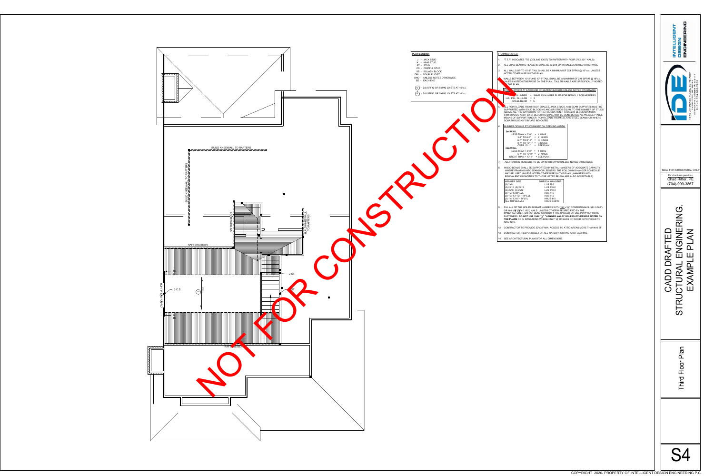|              | <b>FRAMING NOTES:</b>                                                                                                                                                                                                                                                                                                                                                                                                                                                                           |
|--------------|-------------------------------------------------------------------------------------------------------------------------------------------------------------------------------------------------------------------------------------------------------------------------------------------------------------------------------------------------------------------------------------------------------------------------------------------------------------------------------------------------|
| 1.           | "T.T.R" INDICATES "TIE (CEILING JOIST) TO RAFTER WITH FOUR 3"X0.131" NAILS)                                                                                                                                                                                                                                                                                                                                                                                                                     |
| 2.           | ALL LOAD BEARING HEADERS SHALL BE (2)2X8 SPF#2 UNLESS NOTED OTHERWISE                                                                                                                                                                                                                                                                                                                                                                                                                           |
| 3.           | ALL WALLS UP TO 10'-2". TALL SHALL BE A MINIMUM OF 2X4 SPF#2 @ 16" o.c. UNLESS<br>NOTED OTHERWISE ON THE PLAN.                                                                                                                                                                                                                                                                                                                                                                                  |
|              | WALLS BETWEEN 10'-2" AND 13'-2" TALL SHALL BE A MINIMUM OF 2X6 SPF#2 @ 16"o.c.<br>UNLESS NOTED OTHERWISE ON THE PLAN. TALLER WALLS ARE SPECIFICALLY NOTED<br><b>I</b> THE PLAN.                                                                                                                                                                                                                                                                                                                 |
|              | NUPPORT AT EACH END OF BEAMS/HEADERS UNLESS NOTED OTHERWISE<br>STU                                                                                                                                                                                                                                                                                                                                                                                                                              |
|              | = SAME AS NUMBER PLIES FOR BEAMS; 1 FOR HEADERS<br>$\overline{\mathbf{X}}$ LUMBER<br>LVL, PSL, GLU-LAM $=$ 3<br>STEEL BEAM<br>$= 5$                                                                                                                                                                                                                                                                                                                                                             |
| $5^{\prime}$ | ALL POINT LOADS FROM ROOF BRACES, JACK STUDS, AND BEAM SUPPORTS MUST BE<br>SUPPORTED WITH SOLID BLOCKING AND/OR STUDS EQUAL TO THE NUMBER OF STUDS<br>ABOVE ALL THE WAY DOWN TO THE FOUNDATION (1 STUD/2X4 BLOCK MINIMUM)<br>(RIM BOARDS AND I-JOIST BLOCKING SHALL NOT BE CONSIDERED AS AN ACCEPTABLE<br>MEANS OF SUPPORT UNDER POINT LOADS FROM LVL AND STEEL BEAMS OR WHERE<br>SQUASH BLOCKS "S.B" ARE INDICATED                                                                             |
| 6.           | NUMBER OF KING STUDS BASED ON OPENING WIDTH:                                                                                                                                                                                                                                                                                                                                                                                                                                                    |
|              | 2x4 WALL<br>LESS THAN < $3'-9''$ = 1 KING<br>3'-9" TO 6'-0" = 2 KINGS<br>$6'$ -1" TO 8 '-0" = 3 KINGS<br>8'-1" TO 10'-1" = 4 KINGS<br>OVER 10'-1" = SEE PLAN<br><b>2X6 WALL</b><br>LESS THAN < $5'-0" = 1$ KING<br>$5'$ -1" TO 10'-0" = 2 KINGS<br>GREAT THAN $> 10'$ -1" = SEE PLAN                                                                                                                                                                                                            |
| 7.           | ALL FRAMING MEMBERS TO BE SPF#2 OR SYP#2 UNLESS NOTED OTHERWISE                                                                                                                                                                                                                                                                                                                                                                                                                                 |
| 8.           | WOOD BEAMS SHALL BE SUPPORTED BY METAL HANGERS OF ADEQUATE CAPACITY<br>WHERE FRAMING INTO BEAMS OR LEDGERS. THE FOLLOWING HANGER SCHEDULE<br>MAY BE USED UNLESS NOTED OTHERWISE ON THE PLAN: (HANGERS WITH<br>EQUIVALENT CAPACITIES TO THOSE LISTED BELOW ARE ALSO ACCEPTABLE)                                                                                                                                                                                                                  |
|              | MEMBER SIZE<br><b>SIMPSON HANGERS</b><br>$(2)$ 2X8<br>LUS 28-2<br>(2) 2X10, (2) 2X12<br>LUS 210-2<br>$(3)-2x10, (3)-2x12$<br>LUS 210-3<br>(2) 13/4" X 93/4" LVL<br><b>HUS 410</b><br>(2) $1\frac{3}{4}$ " X $11\frac{7}{8}$ " - 14" LVL<br><b>HUS 412</b><br>(2) $1\frac{3}{4}$ " X 16" - 24"LVL<br><b>HHUS 410</b><br>ALL TRIPLE LVLs<br>HHUS 5.50/10                                                                                                                                          |
| 9.           | FILL ALL OF THE HOLES IN BEAM HANGERS WITH 16d x 3 <sup>1/2</sup> COMMON NAILS (3 <sup>1</sup> / <sub>2</sub> x 0.162 <sup>"</sup> )<br>OR 16d $x2\frac{1}{2}$ " ( $2\frac{1}{2}$ "x 0.162") NAILS UNLESS OTHERWISE SPECIFIED BY THE<br>MANUFACTURER. DO NOT BEND OR MODIFY THE HANGER OR USE INAPPROPRIATE<br>FASTENERS. DO NOT USE 10dX 1 <sup>1</sup> /2" "HANGER NAILS" UNLESS OTHERWISE NOTED ON<br>THE PLANS OR IN SITUATIONS WHERE ONLY 13" OR LESS OF WOOD IS PROVIDED TO<br>NAIL INTO. |
| 12.          | CONTRACTOR TO PROVIDE 22"x30" MIN. ACCESS TO ATTIC AREAS MORE THAN 400 SF.                                                                                                                                                                                                                                                                                                                                                                                                                      |
| 13.          | CONTRACTOR RESPONSIBLE FOR ALL WATERPROOFING AND FLASHING.                                                                                                                                                                                                                                                                                                                                                                                                                                      |
| 14.          | SEE ARCHITECTURAL PLANS FOR ALL DIMENSIONS.                                                                                                                                                                                                                                                                                                                                                                                                                                                     |

| <b>DUR 3"X0.131" NAILS)</b><br><b>SS NOTED OTHERWISE</b><br>SPF#2 @ 16" o.c. UNLESS<br>JM OF 2X6 SPF#2 @ 16"o.c.<br>ARE SPECIFICALLY NOTED<br>S NOTED OTHERWISE<br>AMS; 1 FOR HEADERS<br>BEAM SUPPORTS MUST BE<br>. TO THE NUMBER OF STUDS<br>2X4 BLOCK MINIMUM)<br>DERED AS AN ACCEPTABLE<br>STEEL BEAMS OR WHERE | <b>ENGINEERING</b><br><b>INTELLIGET</b><br><b>NSIG30</b><br>#204<br>11B<br>$28262$<br>E #: C-31<br><b>SUITE</b><br>704-335-7200<br>CORPORATE LICENSE<br><b>PLACE</b><br>$\frac{U}{Z}$<br>CHARLOTTE,<br>PEASE<br>PHONE:<br>N 7 5 7 6 1 |
|--------------------------------------------------------------------------------------------------------------------------------------------------------------------------------------------------------------------------------------------------------------------------------------------------------------------|---------------------------------------------------------------------------------------------------------------------------------------------------------------------------------------------------------------------------------------|
| <b>IOTED OTHERWISE</b><br>OF ADEQUATE CAPACITY<br><b>IING HANGER SCHEDULE</b><br>(HANGERS WITH<br>LSO ACCEPTABLE)<br>COMMON NAILS $(3\frac{1}{2}x 0.162'')$<br><b>IED BY THE</b><br>OR USE INAPPROPRIATE<br><b>ISS OTHERWISE NOTED ON</b>                                                                          | SEAL FOR STRUCTURAL ONLY<br>For structural questions:<br>Chad Ritter, PE<br>(704)-999-3867                                                                                                                                            |
| F WOOD IS PROVIDED TO<br>AREAS MORE THAN 400 SF.<br>ND FLASHING.                                                                                                                                                                                                                                                   | TED<br>NGINERING.<br>- PLAN<br>$\frac{1}{\Delta}$<br>$\mathbf{L}$<br>STRUCTURAL<br>CADD D<br>EXAMP                                                                                                                                    |
|                                                                                                                                                                                                                                                                                                                    | hird Floor Plan                                                                                                                                                                                                                       |
| COPYRIGHT 2020- PROPERTY OF INTELLIGENT DESIGN ENGINEERING P.C.                                                                                                                                                                                                                                                    | S4                                                                                                                                                                                                                                    |

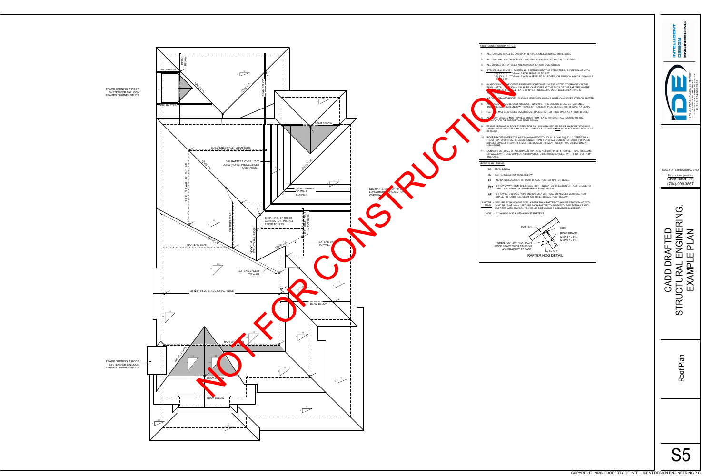1. ALL RAFTERS SHALL BE 2X6 SPF#2 @ 16" o.c. UNLESS NOTED OTHERWISE 2. ALL HIPS, VALLEYS, AND RIDGES ARE 2X10 SPF#2 UNLESS NOTED OTHERWISE 3. ALL SHADED OR HATCHED AREAS INDICATE ROOF OVERBUILDS

4. | STRUCTURAL RIDGE| - FASTEN ALL RAFTERS INTO THE STRUCTURAL RIDGE BEAMS WITH: \* (3) 3"X 0.131" TOE-NAILS FOR SPANS UP TO 8 FT.  $*(3)$  3"X 0.131" TOE-NAILS AND A BEVELED 2x LEDGER, OR SIMPSON A34 OR L50 ANGLE

IN ADDITION TO THE CODES FASTENER SCHEDULE, UNLESS NOTED OTHERWISE ON THE PLAN, INSTALL SIMPSON H2.5A HURRICANE CLIPS AT THE ENDS OF THE RAFTERS WHERE  $T$  is the  $\mathbb{R}$  on the  $\mathbb{R}$ LL plate @ 48" o.c. INSTALLING OVER WALL SHEATHING IS

**AT AT OPER AT OPEN FRAMED ROOFS, SUCH AS PORCHES, INSTALL HURRICANE CLIPS AT EACH RAFTER.** 

6. AL NOGS NALL BE COMPOSED OF TWO 2X6'S. THE BOARDS SHALL BE FASTENED TOGETHER AT THEIR ENDS WITH 3"X0.131" NAILS AT 4" ON CENTER TO FORM AN "L" SHAPE. RAFTERS MAY BE SPLICED OVER HOGS. SPLICE RAFTER HOGS ONLY AT A ROOF BRACE. OOF BRACES MUST HAVE A STUD FROM PLATE THROUGH ALL FLOORS TO THE JNDATION OR SUPPORTING BEAM BELOW.

ROOF BRACES UNDER 7'-0" ARE 2-2X4 NAILED WITH 3"X 0.131"NAILS @ 6" o.c. VERTICALLY FROM TOP TO BOTTOM. BRACES LONGER THAN 7'-0" SHALL CONSIST OF (2)2X6 T-BRACES. BRACES LONGER THAN 12 FT. MUST BE BRACED HORIZONTALLY IN TWO DIRECTIONS AT

. CONNECT BOTTOMS OF ALL BRACES THAT ARE NOT WITHIN 26° FROM VERTICAL TO BEAMS OR WALLS WITH ONE SIMPSON A34 BRACKET, OTHERWISE CONNECT WITH FOUR 3"X 0.131"

ARROW AWAY FROM THE BRACE POINT INDICATES DIRECTION OF ROOF BRACE TO PARTITION, BEAM, OR OTHER BRACE POINT BELOW.

**ARROW INTO BRACE POINT INDICATES A VERTICAL OR ALMOST VERTICAL ROOF** BRACE TO PARTITION, BEAM, OR OTHER BRACE POINT BELOW.

9. FRAME OPENING IN ROOF SYSTEM FOR BALLOON FRAMED STUDS OR MASONRY FORMING CHIMNEYS WITH DOUBLE MEMBERS. CHIMNEY FRAMING IS **NOT** TO BE SUPPORTED BY ROOF



ROOF CONSTRUCTION NOTES:

**R** 8 FT.

RAFTER HOG DETAIL

RB - RAFTERS BEAR ON WALL BELOW

INDICATES LOCATION OF ROOF BRACE POINT AT RAFTER LEVEL.

RAFTER **-** SECURE 2X BAND (ONE SIZE LARGER THAN RAFTER) TO HOUSE STUDS/BAND WITH <code>BAND</code>  $\mid$  <code>3-16D</code> NAILS AT 16"o.c. <code>SECURE EACH</code> RAFTER TO BAND WITH 3-8D TOENAILS AND SUPPORT WITH SIMPSON A34 OR L50 SIDE ANGLE OR BEVELED 2x LEDGER.

HOG - (2)2X6 HOG INSTALLED AGAINST RAFTERS.

 $\begin{bmatrix} \searrow \\ \text{ANGLE} \end{bmatrix}$ RAFTER WHEN >26° (2V:1H) ATTACH ROOF BRACE WITH SIMPSON A34 BRACKET AT BASE HOG ROOF BRACE  $(2)2X4 \le 7$  FT.,  $(2)2X6 > 7$  FT.

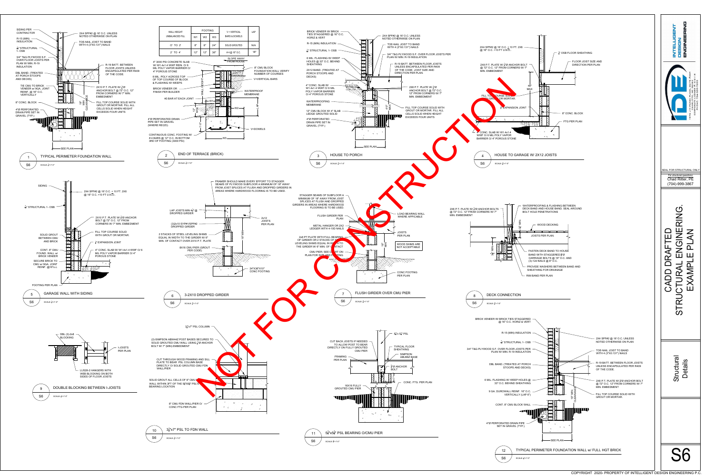